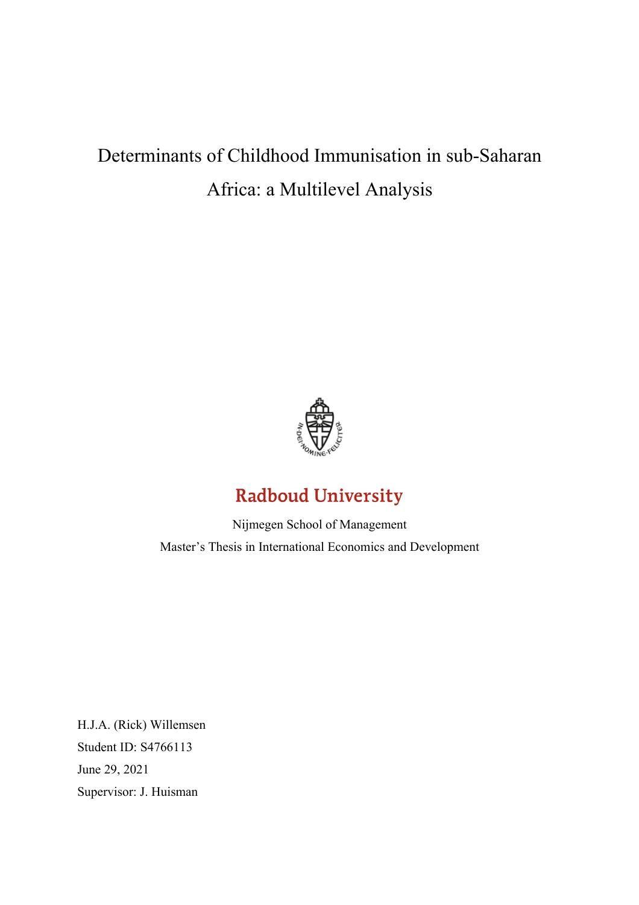# Determinants of Childhood Immunisation in sub-Saharan Africa: a Multilevel Analysis



# **Radboud University**

Nijmegen School of Management Master's Thesis in International Economics and Development

H.J.A. (Rick) Willemsen Student ID: S4766113 June 29, 2021 Supervisor: J. Huisman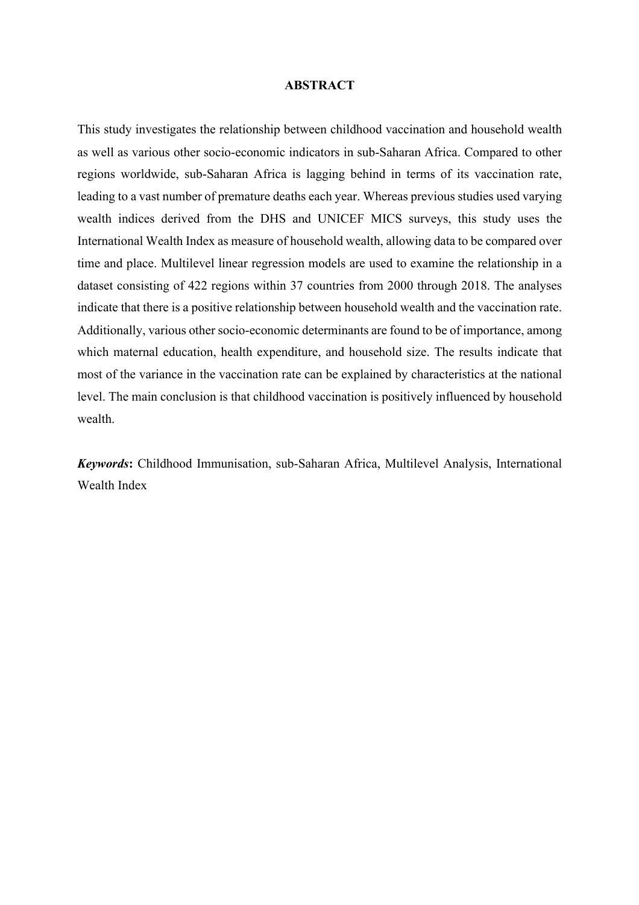#### **ABSTRACT**

This study investigates the relationship between childhood vaccination and household wealth as well as various other socio-economic indicators in sub-Saharan Africa. Compared to other regions worldwide, sub-Saharan Africa is lagging behind in terms of its vaccination rate, leading to a vast number of premature deaths each year. Whereas previous studies used varying wealth indices derived from the DHS and UNICEF MICS surveys, this study uses the International Wealth Index as measure of household wealth, allowing data to be compared over time and place. Multilevel linear regression models are used to examine the relationship in a dataset consisting of 422 regions within 37 countries from 2000 through 2018. The analyses indicate that there is a positive relationship between household wealth and the vaccination rate. Additionally, various other socio-economic determinants are found to be of importance, among which maternal education, health expenditure, and household size. The results indicate that most of the variance in the vaccination rate can be explained by characteristics at the national level. The main conclusion is that childhood vaccination is positively influenced by household wealth.

*Keywords***:** Childhood Immunisation, sub-Saharan Africa, Multilevel Analysis, International Wealth Index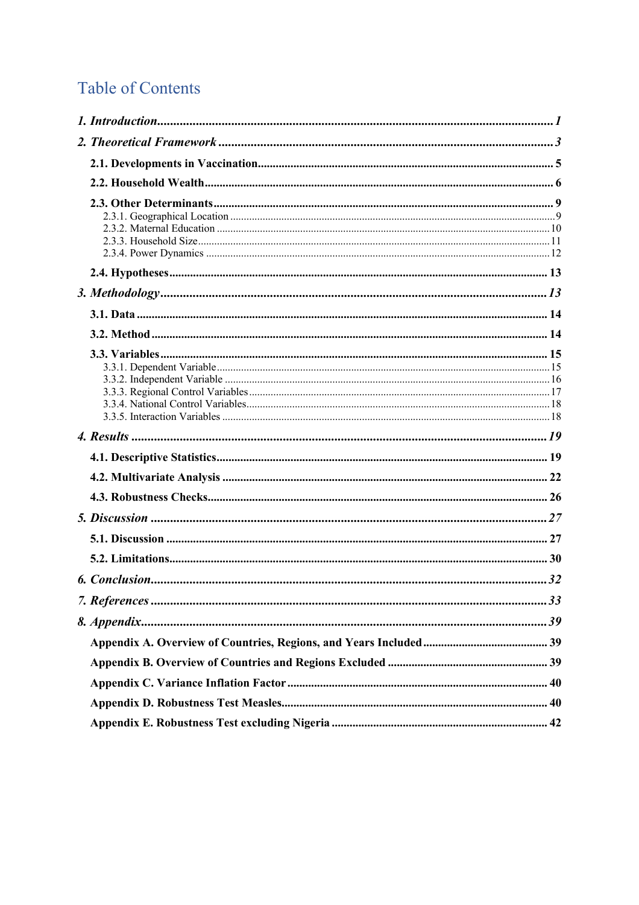# **Table of Contents**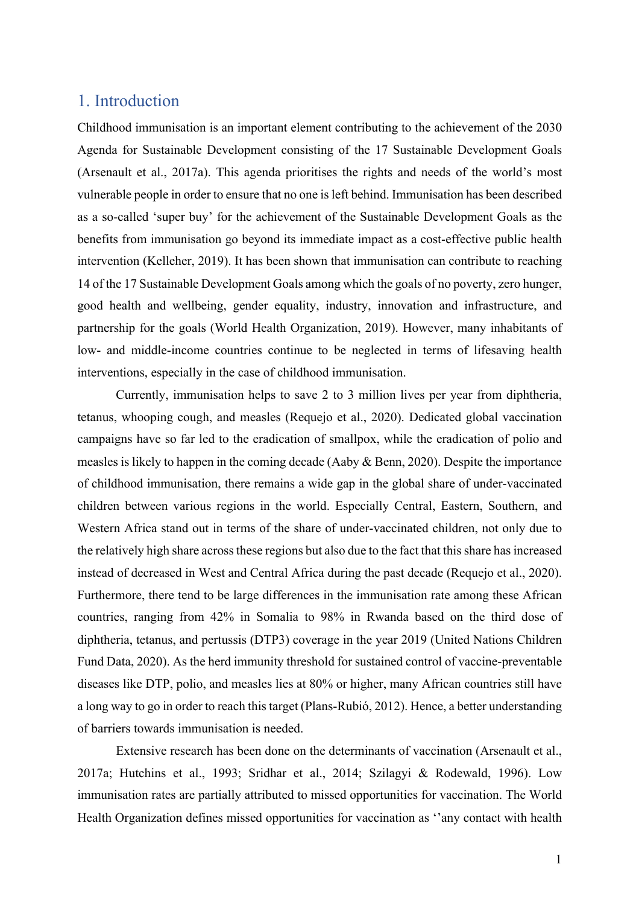# 1. Introduction

Childhood immunisation is an important element contributing to the achievement of the 2030 Agenda for Sustainable Development consisting of the 17 Sustainable Development Goals (Arsenault et al., 2017a). This agenda prioritises the rights and needs of the world's most vulnerable people in order to ensure that no one is left behind. Immunisation has been described as a so-called 'super buy' for the achievement of the Sustainable Development Goals as the benefits from immunisation go beyond its immediate impact as a cost-effective public health intervention (Kelleher, 2019). It has been shown that immunisation can contribute to reaching 14 of the 17 Sustainable Development Goals among which the goals of no poverty, zero hunger, good health and wellbeing, gender equality, industry, innovation and infrastructure, and partnership for the goals (World Health Organization, 2019). However, many inhabitants of low- and middle-income countries continue to be neglected in terms of lifesaving health interventions, especially in the case of childhood immunisation.

Currently, immunisation helps to save 2 to 3 million lives per year from diphtheria, tetanus, whooping cough, and measles (Requejo et al., 2020). Dedicated global vaccination campaigns have so far led to the eradication of smallpox, while the eradication of polio and measles is likely to happen in the coming decade (Aaby & Benn, 2020). Despite the importance of childhood immunisation, there remains a wide gap in the global share of under-vaccinated children between various regions in the world. Especially Central, Eastern, Southern, and Western Africa stand out in terms of the share of under-vaccinated children, not only due to the relatively high share across these regions but also due to the fact that thisshare has increased instead of decreased in West and Central Africa during the past decade (Requejo et al., 2020). Furthermore, there tend to be large differences in the immunisation rate among these African countries, ranging from 42% in Somalia to 98% in Rwanda based on the third dose of diphtheria, tetanus, and pertussis (DTP3) coverage in the year 2019 (United Nations Children Fund Data, 2020). As the herd immunity threshold for sustained control of vaccine-preventable diseases like DTP, polio, and measles lies at 80% or higher, many African countries still have a long way to go in order to reach this target (Plans-Rubió, 2012). Hence, a better understanding of barriers towards immunisation is needed.

Extensive research has been done on the determinants of vaccination (Arsenault et al., 2017a; Hutchins et al., 1993; Sridhar et al., 2014; Szilagyi & Rodewald, 1996). Low immunisation rates are partially attributed to missed opportunities for vaccination. The World Health Organization defines missed opportunities for vaccination as ''any contact with health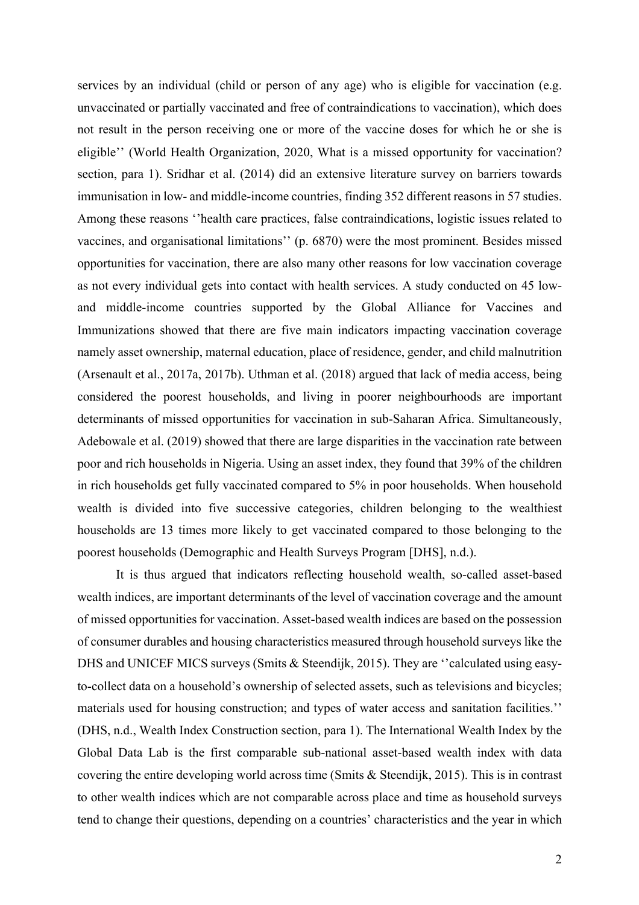services by an individual (child or person of any age) who is eligible for vaccination (e.g. unvaccinated or partially vaccinated and free of contraindications to vaccination), which does not result in the person receiving one or more of the vaccine doses for which he or she is eligible'' (World Health Organization, 2020, What is a missed opportunity for vaccination? section, para 1). Sridhar et al. (2014) did an extensive literature survey on barriers towards immunisation in low- and middle-income countries, finding 352 different reasons in 57 studies. Among these reasons ''health care practices, false contraindications, logistic issues related to vaccines, and organisational limitations'' (p. 6870) were the most prominent. Besides missed opportunities for vaccination, there are also many other reasons for low vaccination coverage as not every individual gets into contact with health services. A study conducted on 45 lowand middle-income countries supported by the Global Alliance for Vaccines and Immunizations showed that there are five main indicators impacting vaccination coverage namely asset ownership, maternal education, place of residence, gender, and child malnutrition (Arsenault et al., 2017a, 2017b). Uthman et al. (2018) argued that lack of media access, being considered the poorest households, and living in poorer neighbourhoods are important determinants of missed opportunities for vaccination in sub-Saharan Africa. Simultaneously, Adebowale et al. (2019) showed that there are large disparities in the vaccination rate between poor and rich households in Nigeria. Using an asset index, they found that 39% of the children in rich households get fully vaccinated compared to 5% in poor households. When household wealth is divided into five successive categories, children belonging to the wealthiest households are 13 times more likely to get vaccinated compared to those belonging to the poorest households (Demographic and Health Surveys Program [DHS], n.d.).

It is thus argued that indicators reflecting household wealth, so-called asset-based wealth indices, are important determinants of the level of vaccination coverage and the amount of missed opportunities for vaccination. Asset-based wealth indices are based on the possession of consumer durables and housing characteristics measured through household surveys like the DHS and UNICEF MICS surveys (Smits & Steendijk, 2015). They are "calculated using easyto-collect data on a household's ownership of selected assets, such as televisions and bicycles; materials used for housing construction; and types of water access and sanitation facilities.'' (DHS, n.d., Wealth Index Construction section, para 1). The International Wealth Index by the Global Data Lab is the first comparable sub-national asset-based wealth index with data covering the entire developing world across time (Smits & Steendijk, 2015). This is in contrast to other wealth indices which are not comparable across place and time as household surveys tend to change their questions, depending on a countries' characteristics and the year in which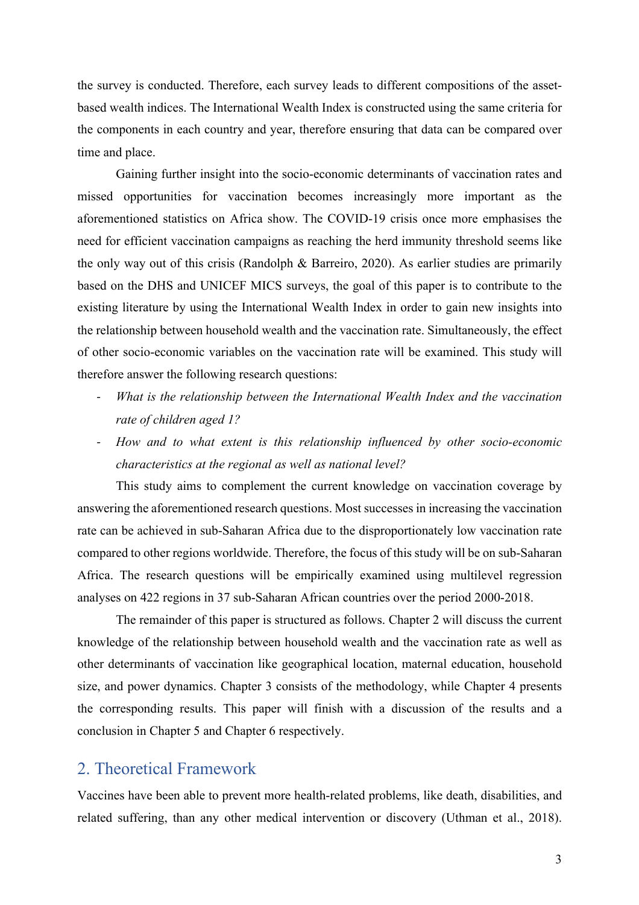the survey is conducted. Therefore, each survey leads to different compositions of the assetbased wealth indices. The International Wealth Index is constructed using the same criteria for the components in each country and year, therefore ensuring that data can be compared over time and place.

Gaining further insight into the socio-economic determinants of vaccination rates and missed opportunities for vaccination becomes increasingly more important as the aforementioned statistics on Africa show. The COVID-19 crisis once more emphasises the need for efficient vaccination campaigns as reaching the herd immunity threshold seems like the only way out of this crisis (Randolph & Barreiro, 2020). As earlier studies are primarily based on the DHS and UNICEF MICS surveys, the goal of this paper is to contribute to the existing literature by using the International Wealth Index in order to gain new insights into the relationship between household wealth and the vaccination rate. Simultaneously, the effect of other socio-economic variables on the vaccination rate will be examined. This study will therefore answer the following research questions:

- *What is the relationship between the International Wealth Index and the vaccination rate of children aged 1?*
- *- How and to what extent is this relationship influenced by other socio-economic characteristics at the regional as well as national level?*

This study aims to complement the current knowledge on vaccination coverage by answering the aforementioned research questions. Most successes in increasing the vaccination rate can be achieved in sub-Saharan Africa due to the disproportionately low vaccination rate compared to other regions worldwide. Therefore, the focus of this study will be on sub-Saharan Africa. The research questions will be empirically examined using multilevel regression analyses on 422 regions in 37 sub-Saharan African countries over the period 2000-2018.

The remainder of this paper is structured as follows. Chapter 2 will discuss the current knowledge of the relationship between household wealth and the vaccination rate as well as other determinants of vaccination like geographical location, maternal education, household size, and power dynamics. Chapter 3 consists of the methodology, while Chapter 4 presents the corresponding results. This paper will finish with a discussion of the results and a conclusion in Chapter 5 and Chapter 6 respectively.

## 2. Theoretical Framework

Vaccines have been able to prevent more health-related problems, like death, disabilities, and related suffering, than any other medical intervention or discovery (Uthman et al., 2018).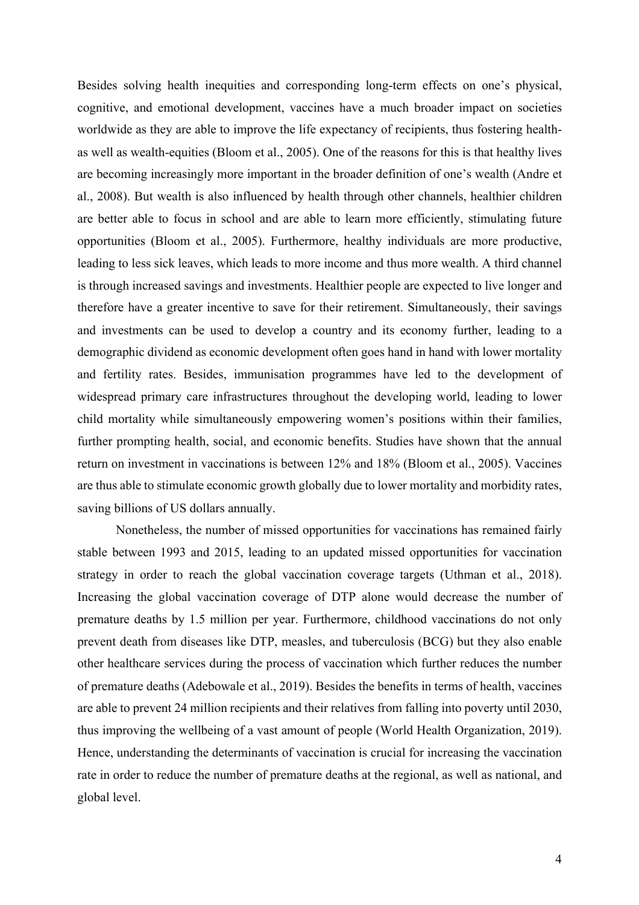Besides solving health inequities and corresponding long-term effects on one's physical, cognitive, and emotional development, vaccines have a much broader impact on societies worldwide as they are able to improve the life expectancy of recipients, thus fostering healthas well as wealth-equities (Bloom et al., 2005). One of the reasons for this is that healthy lives are becoming increasingly more important in the broader definition of one's wealth (Andre et al., 2008). But wealth is also influenced by health through other channels, healthier children are better able to focus in school and are able to learn more efficiently, stimulating future opportunities (Bloom et al., 2005). Furthermore, healthy individuals are more productive, leading to less sick leaves, which leads to more income and thus more wealth. A third channel is through increased savings and investments. Healthier people are expected to live longer and therefore have a greater incentive to save for their retirement. Simultaneously, their savings and investments can be used to develop a country and its economy further, leading to a demographic dividend as economic development often goes hand in hand with lower mortality and fertility rates. Besides, immunisation programmes have led to the development of widespread primary care infrastructures throughout the developing world, leading to lower child mortality while simultaneously empowering women's positions within their families, further prompting health, social, and economic benefits. Studies have shown that the annual return on investment in vaccinations is between 12% and 18% (Bloom et al., 2005). Vaccines are thus able to stimulate economic growth globally due to lower mortality and morbidity rates, saving billions of US dollars annually.

Nonetheless, the number of missed opportunities for vaccinations has remained fairly stable between 1993 and 2015, leading to an updated missed opportunities for vaccination strategy in order to reach the global vaccination coverage targets (Uthman et al., 2018). Increasing the global vaccination coverage of DTP alone would decrease the number of premature deaths by 1.5 million per year. Furthermore, childhood vaccinations do not only prevent death from diseases like DTP, measles, and tuberculosis (BCG) but they also enable other healthcare services during the process of vaccination which further reduces the number of premature deaths (Adebowale et al., 2019). Besides the benefits in terms of health, vaccines are able to prevent 24 million recipients and their relatives from falling into poverty until 2030, thus improving the wellbeing of a vast amount of people (World Health Organization, 2019). Hence, understanding the determinants of vaccination is crucial for increasing the vaccination rate in order to reduce the number of premature deaths at the regional, as well as national, and global level.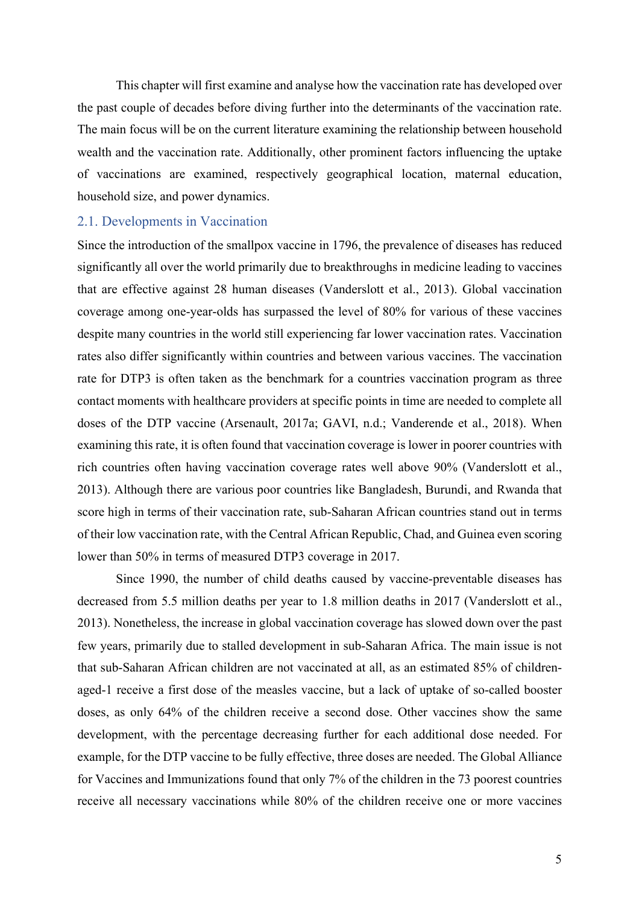This chapter will first examine and analyse how the vaccination rate has developed over the past couple of decades before diving further into the determinants of the vaccination rate. The main focus will be on the current literature examining the relationship between household wealth and the vaccination rate. Additionally, other prominent factors influencing the uptake of vaccinations are examined, respectively geographical location, maternal education, household size, and power dynamics.

#### 2.1. Developments in Vaccination

Since the introduction of the smallpox vaccine in 1796, the prevalence of diseases has reduced significantly all over the world primarily due to breakthroughs in medicine leading to vaccines that are effective against 28 human diseases (Vanderslott et al., 2013). Global vaccination coverage among one-year-olds has surpassed the level of 80% for various of these vaccines despite many countries in the world still experiencing far lower vaccination rates. Vaccination rates also differ significantly within countries and between various vaccines. The vaccination rate for DTP3 is often taken as the benchmark for a countries vaccination program as three contact moments with healthcare providers at specific points in time are needed to complete all doses of the DTP vaccine (Arsenault, 2017a; GAVI, n.d.; Vanderende et al., 2018). When examining this rate, it is often found that vaccination coverage is lower in poorer countries with rich countries often having vaccination coverage rates well above 90% (Vanderslott et al., 2013). Although there are various poor countries like Bangladesh, Burundi, and Rwanda that score high in terms of their vaccination rate, sub-Saharan African countries stand out in terms of their low vaccination rate, with the Central African Republic, Chad, and Guinea even scoring lower than 50% in terms of measured DTP3 coverage in 2017.

Since 1990, the number of child deaths caused by vaccine-preventable diseases has decreased from 5.5 million deaths per year to 1.8 million deaths in 2017 (Vanderslott et al., 2013). Nonetheless, the increase in global vaccination coverage has slowed down over the past few years, primarily due to stalled development in sub-Saharan Africa. The main issue is not that sub-Saharan African children are not vaccinated at all, as an estimated 85% of childrenaged-1 receive a first dose of the measles vaccine, but a lack of uptake of so-called booster doses, as only 64% of the children receive a second dose. Other vaccines show the same development, with the percentage decreasing further for each additional dose needed. For example, for the DTP vaccine to be fully effective, three doses are needed. The Global Alliance for Vaccines and Immunizations found that only 7% of the children in the 73 poorest countries receive all necessary vaccinations while 80% of the children receive one or more vaccines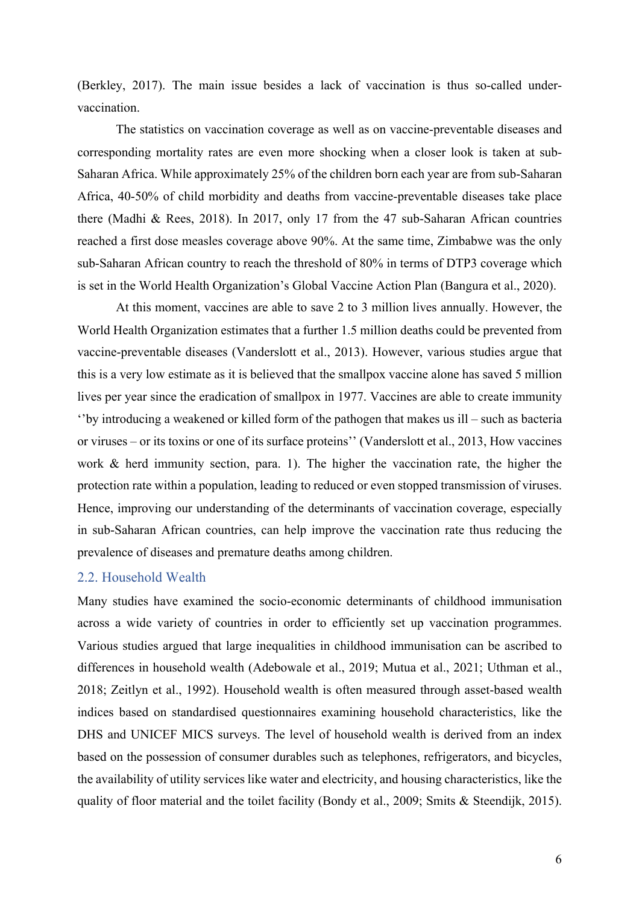(Berkley, 2017). The main issue besides a lack of vaccination is thus so-called undervaccination.

The statistics on vaccination coverage as well as on vaccine-preventable diseases and corresponding mortality rates are even more shocking when a closer look is taken at sub-Saharan Africa. While approximately 25% of the children born each year are from sub-Saharan Africa, 40-50% of child morbidity and deaths from vaccine-preventable diseases take place there (Madhi & Rees, 2018). In 2017, only 17 from the 47 sub-Saharan African countries reached a first dose measles coverage above 90%. At the same time, Zimbabwe was the only sub-Saharan African country to reach the threshold of 80% in terms of DTP3 coverage which is set in the World Health Organization's Global Vaccine Action Plan (Bangura et al., 2020).

At this moment, vaccines are able to save 2 to 3 million lives annually. However, the World Health Organization estimates that a further 1.5 million deaths could be prevented from vaccine-preventable diseases (Vanderslott et al., 2013). However, various studies argue that this is a very low estimate as it is believed that the smallpox vaccine alone has saved 5 million lives per year since the eradication of smallpox in 1977. Vaccines are able to create immunity ''by introducing a weakened or killed form of the pathogen that makes us ill – such as bacteria or viruses – or its toxins or one of its surface proteins'' (Vanderslott et al., 2013, How vaccines work & herd immunity section, para. 1). The higher the vaccination rate, the higher the protection rate within a population, leading to reduced or even stopped transmission of viruses. Hence, improving our understanding of the determinants of vaccination coverage, especially in sub-Saharan African countries, can help improve the vaccination rate thus reducing the prevalence of diseases and premature deaths among children.

#### 2.2. Household Wealth

Many studies have examined the socio-economic determinants of childhood immunisation across a wide variety of countries in order to efficiently set up vaccination programmes. Various studies argued that large inequalities in childhood immunisation can be ascribed to differences in household wealth (Adebowale et al., 2019; Mutua et al., 2021; Uthman et al., 2018; Zeitlyn et al., 1992). Household wealth is often measured through asset-based wealth indices based on standardised questionnaires examining household characteristics, like the DHS and UNICEF MICS surveys. The level of household wealth is derived from an index based on the possession of consumer durables such as telephones, refrigerators, and bicycles, the availability of utility services like water and electricity, and housing characteristics, like the quality of floor material and the toilet facility (Bondy et al., 2009; Smits & Steendijk, 2015).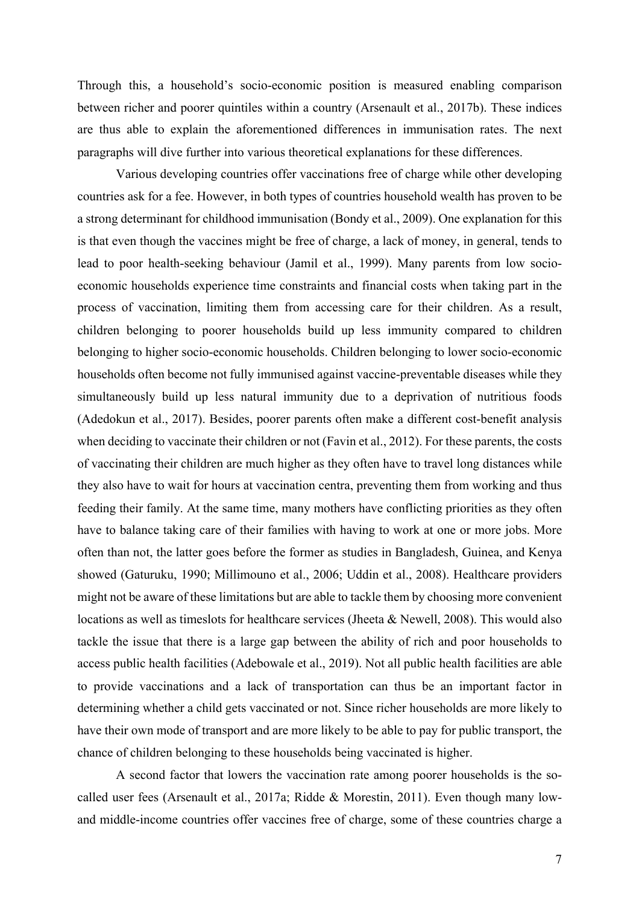Through this, a household's socio-economic position is measured enabling comparison between richer and poorer quintiles within a country (Arsenault et al., 2017b). These indices are thus able to explain the aforementioned differences in immunisation rates. The next paragraphs will dive further into various theoretical explanations for these differences.

Various developing countries offer vaccinations free of charge while other developing countries ask for a fee. However, in both types of countries household wealth has proven to be a strong determinant for childhood immunisation (Bondy et al., 2009). One explanation for this is that even though the vaccines might be free of charge, a lack of money, in general, tends to lead to poor health-seeking behaviour (Jamil et al., 1999). Many parents from low socioeconomic households experience time constraints and financial costs when taking part in the process of vaccination, limiting them from accessing care for their children. As a result, children belonging to poorer households build up less immunity compared to children belonging to higher socio-economic households. Children belonging to lower socio-economic households often become not fully immunised against vaccine-preventable diseases while they simultaneously build up less natural immunity due to a deprivation of nutritious foods (Adedokun et al., 2017). Besides, poorer parents often make a different cost-benefit analysis when deciding to vaccinate their children or not (Favin et al., 2012). For these parents, the costs of vaccinating their children are much higher as they often have to travel long distances while they also have to wait for hours at vaccination centra, preventing them from working and thus feeding their family. At the same time, many mothers have conflicting priorities as they often have to balance taking care of their families with having to work at one or more jobs. More often than not, the latter goes before the former as studies in Bangladesh, Guinea, and Kenya showed (Gaturuku, 1990; Millimouno et al., 2006; Uddin et al., 2008). Healthcare providers might not be aware of these limitations but are able to tackle them by choosing more convenient locations as well as timeslots for healthcare services (Jheeta & Newell, 2008). This would also tackle the issue that there is a large gap between the ability of rich and poor households to access public health facilities (Adebowale et al., 2019). Not all public health facilities are able to provide vaccinations and a lack of transportation can thus be an important factor in determining whether a child gets vaccinated or not. Since richer households are more likely to have their own mode of transport and are more likely to be able to pay for public transport, the chance of children belonging to these households being vaccinated is higher.

A second factor that lowers the vaccination rate among poorer households is the socalled user fees (Arsenault et al., 2017a; Ridde & Morestin, 2011). Even though many lowand middle-income countries offer vaccines free of charge, some of these countries charge a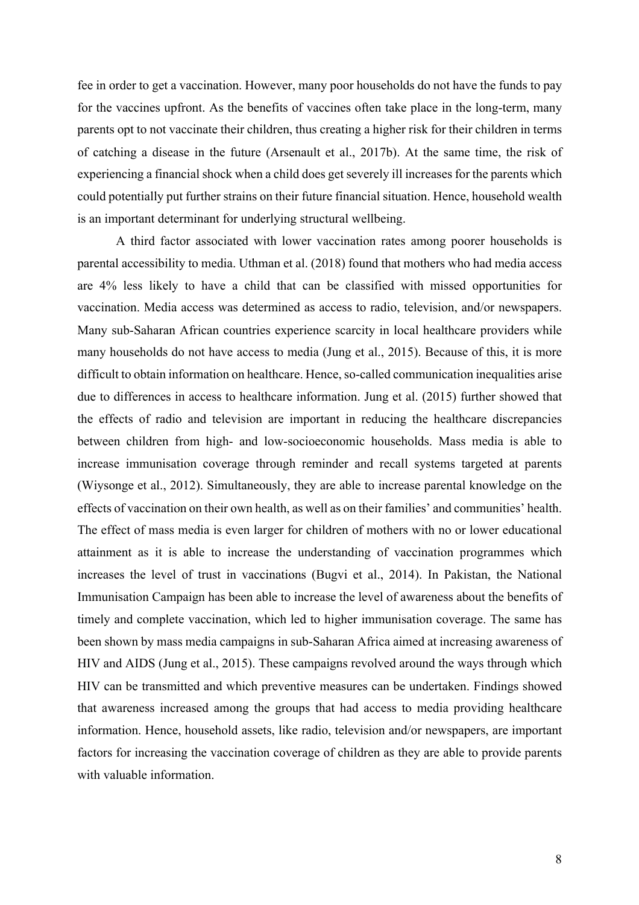fee in order to get a vaccination. However, many poor households do not have the funds to pay for the vaccines upfront. As the benefits of vaccines often take place in the long-term, many parents opt to not vaccinate their children, thus creating a higher risk for their children in terms of catching a disease in the future (Arsenault et al., 2017b). At the same time, the risk of experiencing a financial shock when a child does get severely ill increases for the parents which could potentially put further strains on their future financial situation. Hence, household wealth is an important determinant for underlying structural wellbeing.

A third factor associated with lower vaccination rates among poorer households is parental accessibility to media. Uthman et al. (2018) found that mothers who had media access are 4% less likely to have a child that can be classified with missed opportunities for vaccination. Media access was determined as access to radio, television, and/or newspapers. Many sub-Saharan African countries experience scarcity in local healthcare providers while many households do not have access to media (Jung et al., 2015). Because of this, it is more difficult to obtain information on healthcare. Hence, so-called communication inequalities arise due to differences in access to healthcare information. Jung et al. (2015) further showed that the effects of radio and television are important in reducing the healthcare discrepancies between children from high- and low-socioeconomic households. Mass media is able to increase immunisation coverage through reminder and recall systems targeted at parents (Wiysonge et al., 2012). Simultaneously, they are able to increase parental knowledge on the effects of vaccination on their own health, as well as on their families' and communities' health. The effect of mass media is even larger for children of mothers with no or lower educational attainment as it is able to increase the understanding of vaccination programmes which increases the level of trust in vaccinations (Bugvi et al., 2014). In Pakistan, the National Immunisation Campaign has been able to increase the level of awareness about the benefits of timely and complete vaccination, which led to higher immunisation coverage. The same has been shown by mass media campaigns in sub-Saharan Africa aimed at increasing awareness of HIV and AIDS (Jung et al., 2015). These campaigns revolved around the ways through which HIV can be transmitted and which preventive measures can be undertaken. Findings showed that awareness increased among the groups that had access to media providing healthcare information. Hence, household assets, like radio, television and/or newspapers, are important factors for increasing the vaccination coverage of children as they are able to provide parents with valuable information.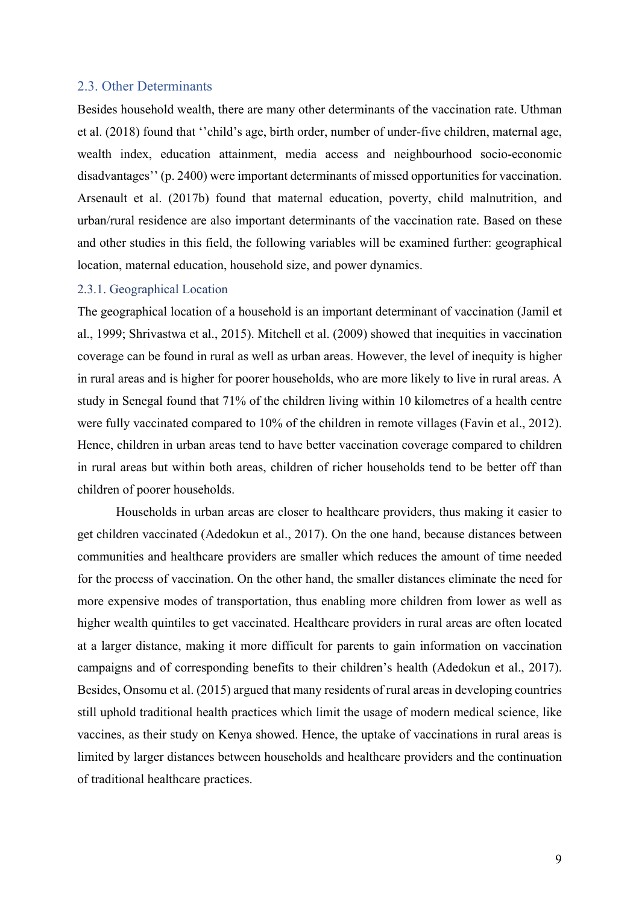#### 2.3. Other Determinants

Besides household wealth, there are many other determinants of the vaccination rate. Uthman et al. (2018) found that ''child's age, birth order, number of under-five children, maternal age, wealth index, education attainment, media access and neighbourhood socio-economic disadvantages'' (p. 2400) were important determinants of missed opportunities for vaccination. Arsenault et al. (2017b) found that maternal education, poverty, child malnutrition, and urban/rural residence are also important determinants of the vaccination rate. Based on these and other studies in this field, the following variables will be examined further: geographical location, maternal education, household size, and power dynamics.

#### 2.3.1. Geographical Location

The geographical location of a household is an important determinant of vaccination (Jamil et al., 1999; Shrivastwa et al., 2015). Mitchell et al. (2009) showed that inequities in vaccination coverage can be found in rural as well as urban areas. However, the level of inequity is higher in rural areas and is higher for poorer households, who are more likely to live in rural areas. A study in Senegal found that 71% of the children living within 10 kilometres of a health centre were fully vaccinated compared to 10% of the children in remote villages (Favin et al., 2012). Hence, children in urban areas tend to have better vaccination coverage compared to children in rural areas but within both areas, children of richer households tend to be better off than children of poorer households.

Households in urban areas are closer to healthcare providers, thus making it easier to get children vaccinated (Adedokun et al., 2017). On the one hand, because distances between communities and healthcare providers are smaller which reduces the amount of time needed for the process of vaccination. On the other hand, the smaller distances eliminate the need for more expensive modes of transportation, thus enabling more children from lower as well as higher wealth quintiles to get vaccinated. Healthcare providers in rural areas are often located at a larger distance, making it more difficult for parents to gain information on vaccination campaigns and of corresponding benefits to their children's health (Adedokun et al., 2017). Besides, Onsomu et al. (2015) argued that many residents of rural areas in developing countries still uphold traditional health practices which limit the usage of modern medical science, like vaccines, as their study on Kenya showed. Hence, the uptake of vaccinations in rural areas is limited by larger distances between households and healthcare providers and the continuation of traditional healthcare practices.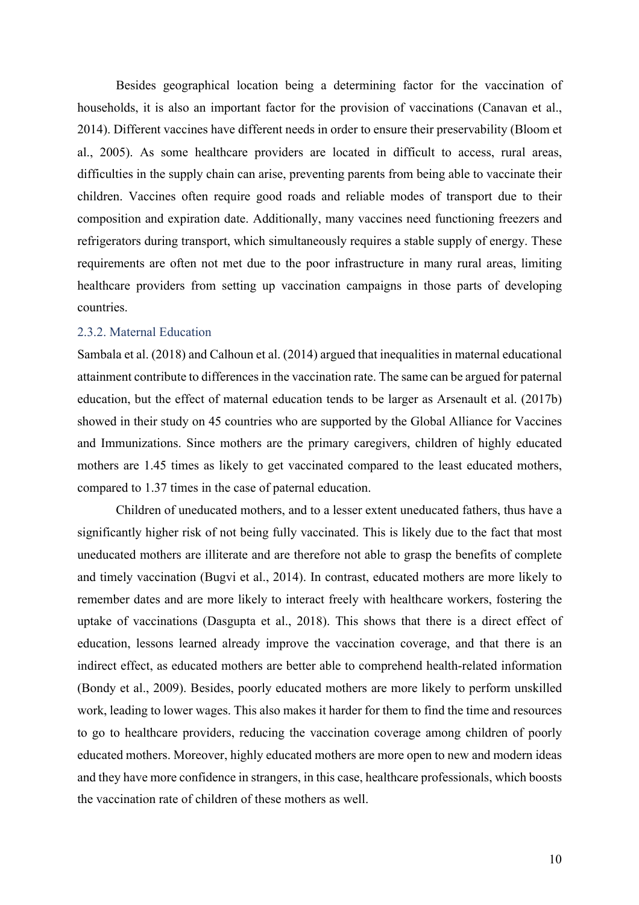Besides geographical location being a determining factor for the vaccination of households, it is also an important factor for the provision of vaccinations (Canavan et al., 2014). Different vaccines have different needs in order to ensure their preservability (Bloom et al., 2005). As some healthcare providers are located in difficult to access, rural areas, difficulties in the supply chain can arise, preventing parents from being able to vaccinate their children. Vaccines often require good roads and reliable modes of transport due to their composition and expiration date. Additionally, many vaccines need functioning freezers and refrigerators during transport, which simultaneously requires a stable supply of energy. These requirements are often not met due to the poor infrastructure in many rural areas, limiting healthcare providers from setting up vaccination campaigns in those parts of developing countries.

#### 2.3.2. Maternal Education

Sambala et al. (2018) and Calhoun et al. (2014) argued that inequalities in maternal educational attainment contribute to differences in the vaccination rate. The same can be argued for paternal education, but the effect of maternal education tends to be larger as Arsenault et al. (2017b) showed in their study on 45 countries who are supported by the Global Alliance for Vaccines and Immunizations. Since mothers are the primary caregivers, children of highly educated mothers are 1.45 times as likely to get vaccinated compared to the least educated mothers, compared to 1.37 times in the case of paternal education.

Children of uneducated mothers, and to a lesser extent uneducated fathers, thus have a significantly higher risk of not being fully vaccinated. This is likely due to the fact that most uneducated mothers are illiterate and are therefore not able to grasp the benefits of complete and timely vaccination (Bugvi et al., 2014). In contrast, educated mothers are more likely to remember dates and are more likely to interact freely with healthcare workers, fostering the uptake of vaccinations (Dasgupta et al., 2018). This shows that there is a direct effect of education, lessons learned already improve the vaccination coverage, and that there is an indirect effect, as educated mothers are better able to comprehend health-related information (Bondy et al., 2009). Besides, poorly educated mothers are more likely to perform unskilled work, leading to lower wages. This also makes it harder for them to find the time and resources to go to healthcare providers, reducing the vaccination coverage among children of poorly educated mothers. Moreover, highly educated mothers are more open to new and modern ideas and they have more confidence in strangers, in this case, healthcare professionals, which boosts the vaccination rate of children of these mothers as well.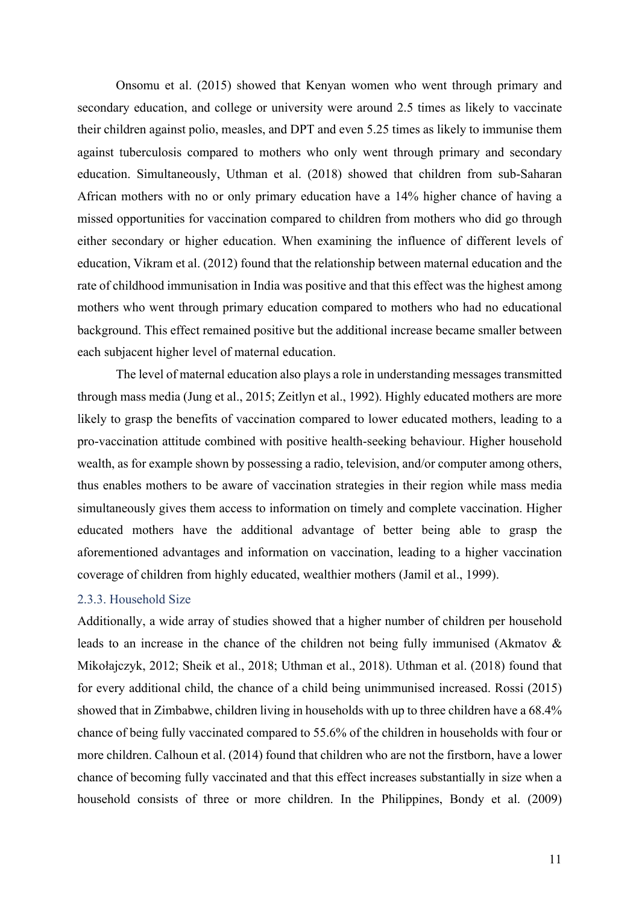Onsomu et al. (2015) showed that Kenyan women who went through primary and secondary education, and college or university were around 2.5 times as likely to vaccinate their children against polio, measles, and DPT and even 5.25 times as likely to immunise them against tuberculosis compared to mothers who only went through primary and secondary education. Simultaneously, Uthman et al. (2018) showed that children from sub-Saharan African mothers with no or only primary education have a 14% higher chance of having a missed opportunities for vaccination compared to children from mothers who did go through either secondary or higher education. When examining the influence of different levels of education, Vikram et al. (2012) found that the relationship between maternal education and the rate of childhood immunisation in India was positive and that this effect was the highest among mothers who went through primary education compared to mothers who had no educational background. This effect remained positive but the additional increase became smaller between each subjacent higher level of maternal education.

The level of maternal education also plays a role in understanding messages transmitted through mass media (Jung et al., 2015; Zeitlyn et al., 1992). Highly educated mothers are more likely to grasp the benefits of vaccination compared to lower educated mothers, leading to a pro-vaccination attitude combined with positive health-seeking behaviour. Higher household wealth, as for example shown by possessing a radio, television, and/or computer among others, thus enables mothers to be aware of vaccination strategies in their region while mass media simultaneously gives them access to information on timely and complete vaccination. Higher educated mothers have the additional advantage of better being able to grasp the aforementioned advantages and information on vaccination, leading to a higher vaccination coverage of children from highly educated, wealthier mothers (Jamil et al., 1999).

#### 2.3.3. Household Size

Additionally, a wide array of studies showed that a higher number of children per household leads to an increase in the chance of the children not being fully immunised (Akmatov & Mikołajczyk, 2012; Sheik et al., 2018; Uthman et al., 2018). Uthman et al. (2018) found that for every additional child, the chance of a child being unimmunised increased. Rossi (2015) showed that in Zimbabwe, children living in households with up to three children have a 68.4% chance of being fully vaccinated compared to 55.6% of the children in households with four or more children. Calhoun et al. (2014) found that children who are not the firstborn, have a lower chance of becoming fully vaccinated and that this effect increases substantially in size when a household consists of three or more children. In the Philippines, Bondy et al. (2009)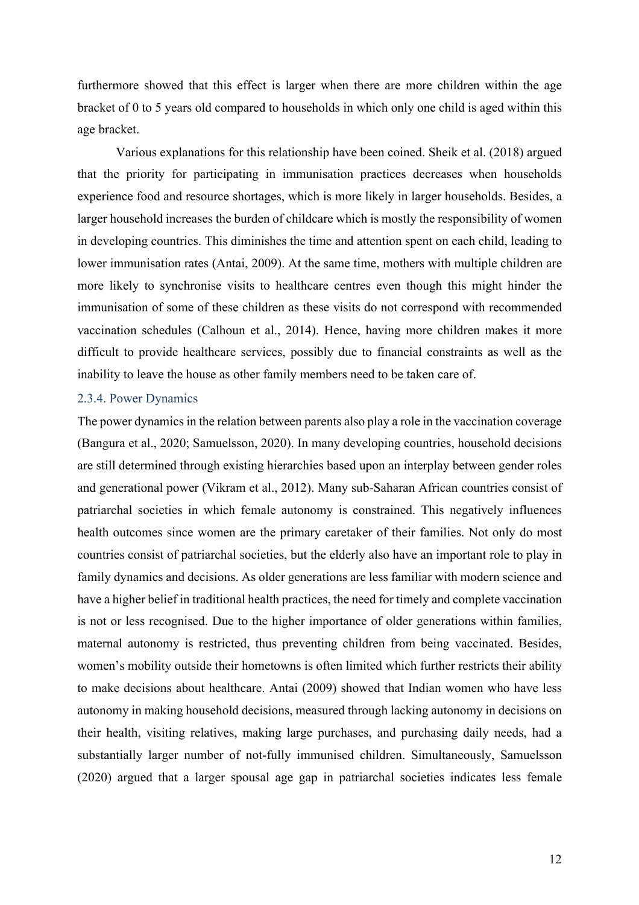furthermore showed that this effect is larger when there are more children within the age bracket of 0 to 5 years old compared to households in which only one child is aged within this age bracket.

Various explanations for this relationship have been coined. Sheik et al. (2018) argued that the priority for participating in immunisation practices decreases when households experience food and resource shortages, which is more likely in larger households. Besides, a larger household increases the burden of childcare which is mostly the responsibility of women in developing countries. This diminishes the time and attention spent on each child, leading to lower immunisation rates (Antai, 2009). At the same time, mothers with multiple children are more likely to synchronise visits to healthcare centres even though this might hinder the immunisation of some of these children as these visits do not correspond with recommended vaccination schedules (Calhoun et al., 2014). Hence, having more children makes it more difficult to provide healthcare services, possibly due to financial constraints as well as the inability to leave the house as other family members need to be taken care of.

#### 2.3.4. Power Dynamics

The power dynamics in the relation between parents also play a role in the vaccination coverage (Bangura et al., 2020; Samuelsson, 2020). In many developing countries, household decisions are still determined through existing hierarchies based upon an interplay between gender roles and generational power (Vikram et al., 2012). Many sub-Saharan African countries consist of patriarchal societies in which female autonomy is constrained. This negatively influences health outcomes since women are the primary caretaker of their families. Not only do most countries consist of patriarchal societies, but the elderly also have an important role to play in family dynamics and decisions. As older generations are less familiar with modern science and have a higher belief in traditional health practices, the need for timely and complete vaccination is not or less recognised. Due to the higher importance of older generations within families, maternal autonomy is restricted, thus preventing children from being vaccinated. Besides, women's mobility outside their hometowns is often limited which further restricts their ability to make decisions about healthcare. Antai (2009) showed that Indian women who have less autonomy in making household decisions, measured through lacking autonomy in decisions on their health, visiting relatives, making large purchases, and purchasing daily needs, had a substantially larger number of not-fully immunised children. Simultaneously, Samuelsson (2020) argued that a larger spousal age gap in patriarchal societies indicates less female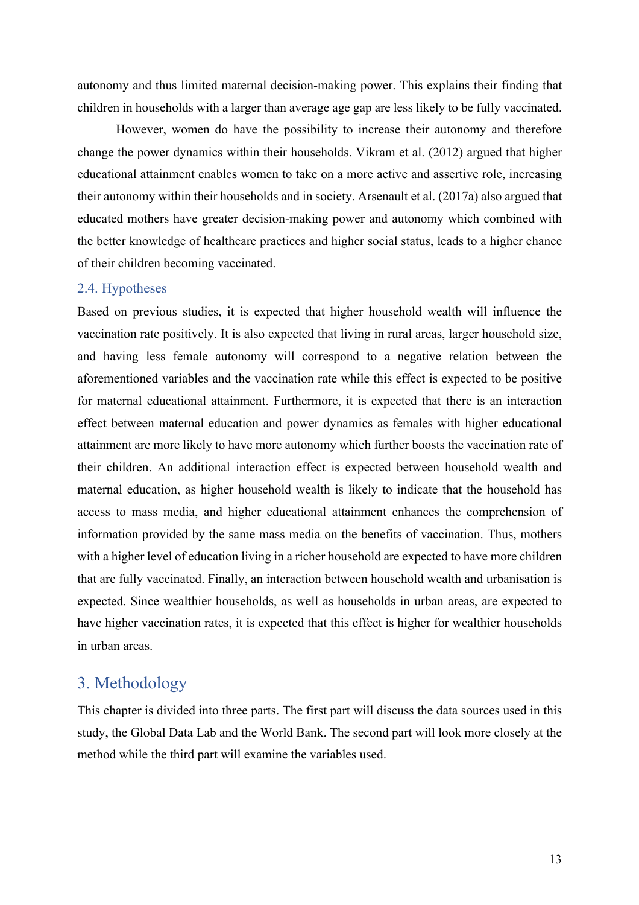autonomy and thus limited maternal decision-making power. This explains their finding that children in households with a larger than average age gap are less likely to be fully vaccinated.

However, women do have the possibility to increase their autonomy and therefore change the power dynamics within their households. Vikram et al. (2012) argued that higher educational attainment enables women to take on a more active and assertive role, increasing their autonomy within their households and in society. Arsenault et al. (2017a) also argued that educated mothers have greater decision-making power and autonomy which combined with the better knowledge of healthcare practices and higher social status, leads to a higher chance of their children becoming vaccinated.

#### 2.4. Hypotheses

Based on previous studies, it is expected that higher household wealth will influence the vaccination rate positively. It is also expected that living in rural areas, larger household size, and having less female autonomy will correspond to a negative relation between the aforementioned variables and the vaccination rate while this effect is expected to be positive for maternal educational attainment. Furthermore, it is expected that there is an interaction effect between maternal education and power dynamics as females with higher educational attainment are more likely to have more autonomy which further boosts the vaccination rate of their children. An additional interaction effect is expected between household wealth and maternal education, as higher household wealth is likely to indicate that the household has access to mass media, and higher educational attainment enhances the comprehension of information provided by the same mass media on the benefits of vaccination. Thus, mothers with a higher level of education living in a richer household are expected to have more children that are fully vaccinated. Finally, an interaction between household wealth and urbanisation is expected. Since wealthier households, as well as households in urban areas, are expected to have higher vaccination rates, it is expected that this effect is higher for wealthier households in urban areas.

# 3. Methodology

This chapter is divided into three parts. The first part will discuss the data sources used in this study, the Global Data Lab and the World Bank. The second part will look more closely at the method while the third part will examine the variables used.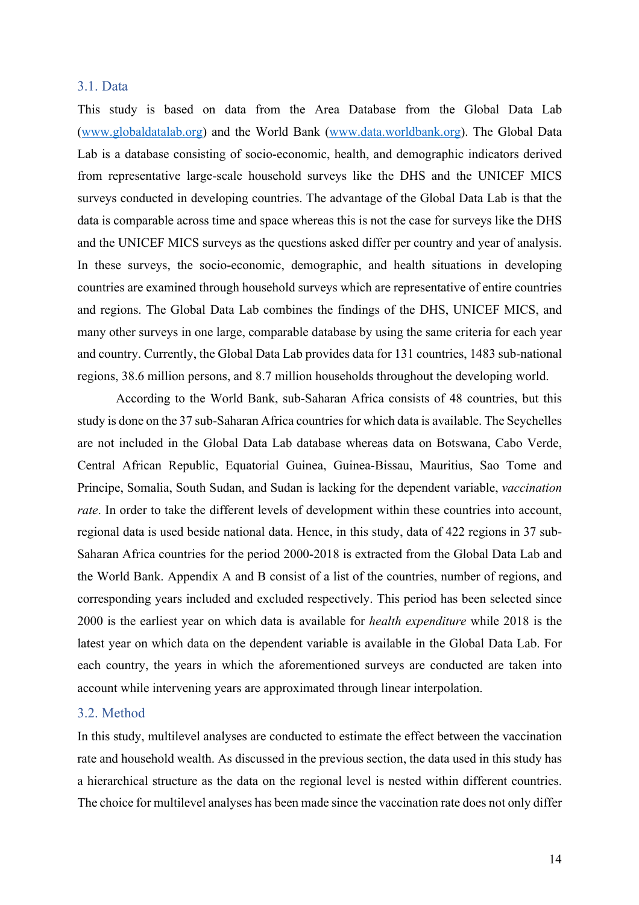#### 3.1. Data

This study is based on data from the Area Database from the Global Data Lab (www.globaldatalab.org) and the World Bank (www.data.worldbank.org). The Global Data Lab is a database consisting of socio-economic, health, and demographic indicators derived from representative large-scale household surveys like the DHS and the UNICEF MICS surveys conducted in developing countries. The advantage of the Global Data Lab is that the data is comparable across time and space whereas this is not the case for surveys like the DHS and the UNICEF MICS surveys as the questions asked differ per country and year of analysis. In these surveys, the socio-economic, demographic, and health situations in developing countries are examined through household surveys which are representative of entire countries and regions. The Global Data Lab combines the findings of the DHS, UNICEF MICS, and many other surveys in one large, comparable database by using the same criteria for each year and country. Currently, the Global Data Lab provides data for 131 countries, 1483 sub-national regions, 38.6 million persons, and 8.7 million households throughout the developing world.

According to the World Bank, sub-Saharan Africa consists of 48 countries, but this study is done on the 37 sub-Saharan Africa countries for which data is available. The Seychelles are not included in the Global Data Lab database whereas data on Botswana, Cabo Verde, Central African Republic, Equatorial Guinea, Guinea-Bissau, Mauritius, Sao Tome and Principe, Somalia, South Sudan, and Sudan is lacking for the dependent variable, *vaccination rate*. In order to take the different levels of development within these countries into account, regional data is used beside national data. Hence, in this study, data of 422 regions in 37 sub-Saharan Africa countries for the period 2000-2018 is extracted from the Global Data Lab and the World Bank. Appendix A and B consist of a list of the countries, number of regions, and corresponding years included and excluded respectively. This period has been selected since 2000 is the earliest year on which data is available for *health expenditure* while 2018 is the latest year on which data on the dependent variable is available in the Global Data Lab. For each country, the years in which the aforementioned surveys are conducted are taken into account while intervening years are approximated through linear interpolation.

#### 3.2. Method

In this study, multilevel analyses are conducted to estimate the effect between the vaccination rate and household wealth. As discussed in the previous section, the data used in this study has a hierarchical structure as the data on the regional level is nested within different countries. The choice for multilevel analyses has been made since the vaccination rate does not only differ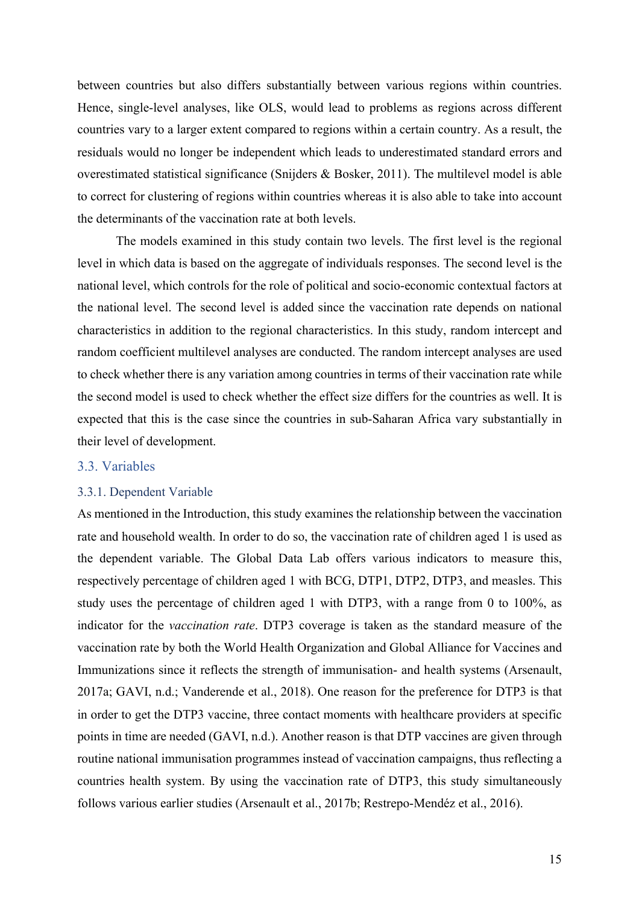between countries but also differs substantially between various regions within countries. Hence, single-level analyses, like OLS, would lead to problems as regions across different countries vary to a larger extent compared to regions within a certain country. As a result, the residuals would no longer be independent which leads to underestimated standard errors and overestimated statistical significance (Snijders & Bosker, 2011). The multilevel model is able to correct for clustering of regions within countries whereas it is also able to take into account the determinants of the vaccination rate at both levels.

The models examined in this study contain two levels. The first level is the regional level in which data is based on the aggregate of individuals responses. The second level is the national level, which controls for the role of political and socio-economic contextual factors at the national level. The second level is added since the vaccination rate depends on national characteristics in addition to the regional characteristics. In this study, random intercept and random coefficient multilevel analyses are conducted. The random intercept analyses are used to check whether there is any variation among countries in terms of their vaccination rate while the second model is used to check whether the effect size differs for the countries as well. It is expected that this is the case since the countries in sub-Saharan Africa vary substantially in their level of development.

#### 3.3. Variables

#### 3.3.1. Dependent Variable

As mentioned in the Introduction, this study examines the relationship between the vaccination rate and household wealth. In order to do so, the vaccination rate of children aged 1 is used as the dependent variable. The Global Data Lab offers various indicators to measure this, respectively percentage of children aged 1 with BCG, DTP1, DTP2, DTP3, and measles. This study uses the percentage of children aged 1 with DTP3, with a range from 0 to 100%, as indicator for the *vaccination rate*. DTP3 coverage is taken as the standard measure of the vaccination rate by both the World Health Organization and Global Alliance for Vaccines and Immunizations since it reflects the strength of immunisation- and health systems (Arsenault, 2017a; GAVI, n.d.; Vanderende et al., 2018). One reason for the preference for DTP3 is that in order to get the DTP3 vaccine, three contact moments with healthcare providers at specific points in time are needed (GAVI, n.d.). Another reason is that DTP vaccines are given through routine national immunisation programmes instead of vaccination campaigns, thus reflecting a countries health system. By using the vaccination rate of DTP3, this study simultaneously follows various earlier studies (Arsenault et al., 2017b; Restrepo-Mendéz et al., 2016).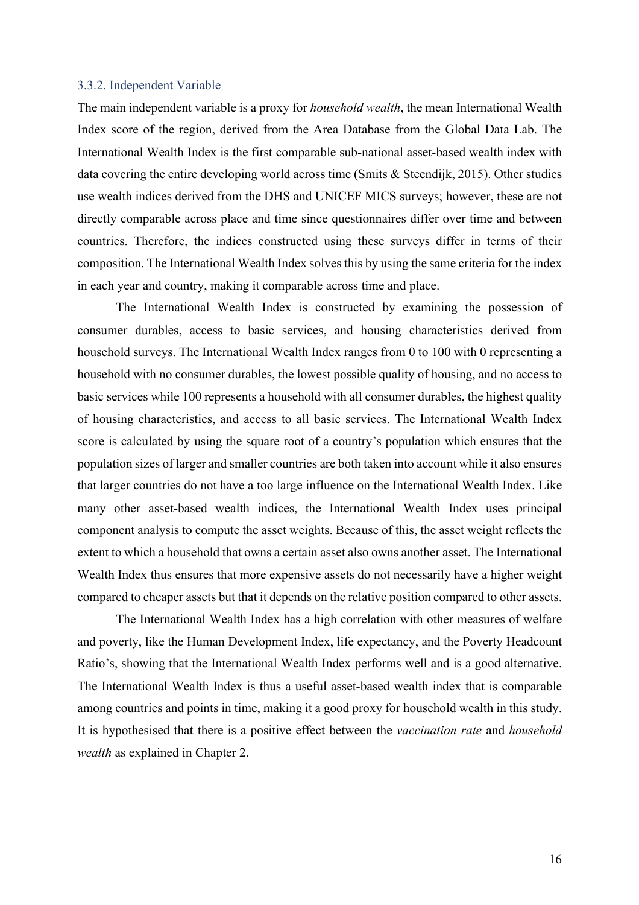#### 3.3.2. Independent Variable

The main independent variable is a proxy for *household wealth*, the mean International Wealth Index score of the region, derived from the Area Database from the Global Data Lab. The International Wealth Index is the first comparable sub-national asset-based wealth index with data covering the entire developing world across time (Smits & Steendijk, 2015). Other studies use wealth indices derived from the DHS and UNICEF MICS surveys; however, these are not directly comparable across place and time since questionnaires differ over time and between countries. Therefore, the indices constructed using these surveys differ in terms of their composition. The International Wealth Index solves this by using the same criteria for the index in each year and country, making it comparable across time and place.

The International Wealth Index is constructed by examining the possession of consumer durables, access to basic services, and housing characteristics derived from household surveys. The International Wealth Index ranges from 0 to 100 with 0 representing a household with no consumer durables, the lowest possible quality of housing, and no access to basic services while 100 represents a household with all consumer durables, the highest quality of housing characteristics, and access to all basic services. The International Wealth Index score is calculated by using the square root of a country's population which ensures that the population sizes of larger and smaller countries are both taken into account while it also ensures that larger countries do not have a too large influence on the International Wealth Index. Like many other asset-based wealth indices, the International Wealth Index uses principal component analysis to compute the asset weights. Because of this, the asset weight reflects the extent to which a household that owns a certain asset also owns another asset. The International Wealth Index thus ensures that more expensive assets do not necessarily have a higher weight compared to cheaper assets but that it depends on the relative position compared to other assets.

The International Wealth Index has a high correlation with other measures of welfare and poverty, like the Human Development Index, life expectancy, and the Poverty Headcount Ratio's, showing that the International Wealth Index performs well and is a good alternative. The International Wealth Index is thus a useful asset-based wealth index that is comparable among countries and points in time, making it a good proxy for household wealth in this study. It is hypothesised that there is a positive effect between the *vaccination rate* and *household wealth* as explained in Chapter 2.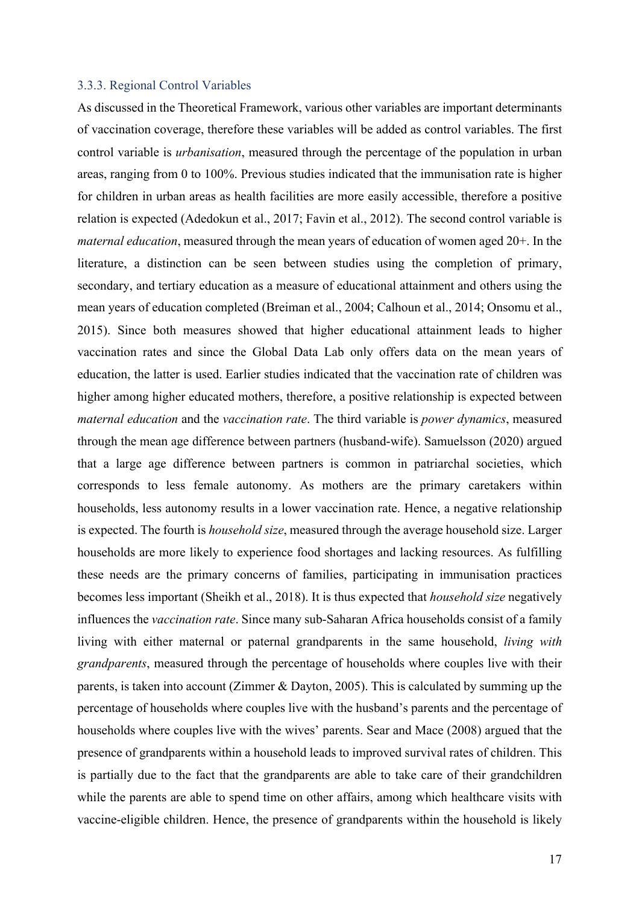#### 3.3.3. Regional Control Variables

As discussed in the Theoretical Framework, various other variables are important determinants of vaccination coverage, therefore these variables will be added as control variables. The first control variable is *urbanisation*, measured through the percentage of the population in urban areas, ranging from 0 to 100%. Previous studies indicated that the immunisation rate is higher for children in urban areas as health facilities are more easily accessible, therefore a positive relation is expected (Adedokun et al., 2017; Favin et al., 2012). The second control variable is *maternal education*, measured through the mean years of education of women aged 20+. In the literature, a distinction can be seen between studies using the completion of primary, secondary, and tertiary education as a measure of educational attainment and others using the mean years of education completed (Breiman et al., 2004; Calhoun et al., 2014; Onsomu et al., 2015). Since both measures showed that higher educational attainment leads to higher vaccination rates and since the Global Data Lab only offers data on the mean years of education, the latter is used. Earlier studies indicated that the vaccination rate of children was higher among higher educated mothers, therefore, a positive relationship is expected between *maternal education* and the *vaccination rate*. The third variable is *power dynamics*, measured through the mean age difference between partners (husband-wife). Samuelsson (2020) argued that a large age difference between partners is common in patriarchal societies, which corresponds to less female autonomy. As mothers are the primary caretakers within households, less autonomy results in a lower vaccination rate. Hence, a negative relationship is expected. The fourth is *household size*, measured through the average household size. Larger households are more likely to experience food shortages and lacking resources. As fulfilling these needs are the primary concerns of families, participating in immunisation practices becomes less important (Sheikh et al., 2018). It is thus expected that *household size* negatively influences the *vaccination rate*. Since many sub-Saharan Africa households consist of a family living with either maternal or paternal grandparents in the same household, *living with grandparents*, measured through the percentage of households where couples live with their parents, is taken into account (Zimmer & Dayton, 2005). This is calculated by summing up the percentage of households where couples live with the husband's parents and the percentage of households where couples live with the wives' parents. Sear and Mace (2008) argued that the presence of grandparents within a household leads to improved survival rates of children. This is partially due to the fact that the grandparents are able to take care of their grandchildren while the parents are able to spend time on other affairs, among which healthcare visits with vaccine-eligible children. Hence, the presence of grandparents within the household is likely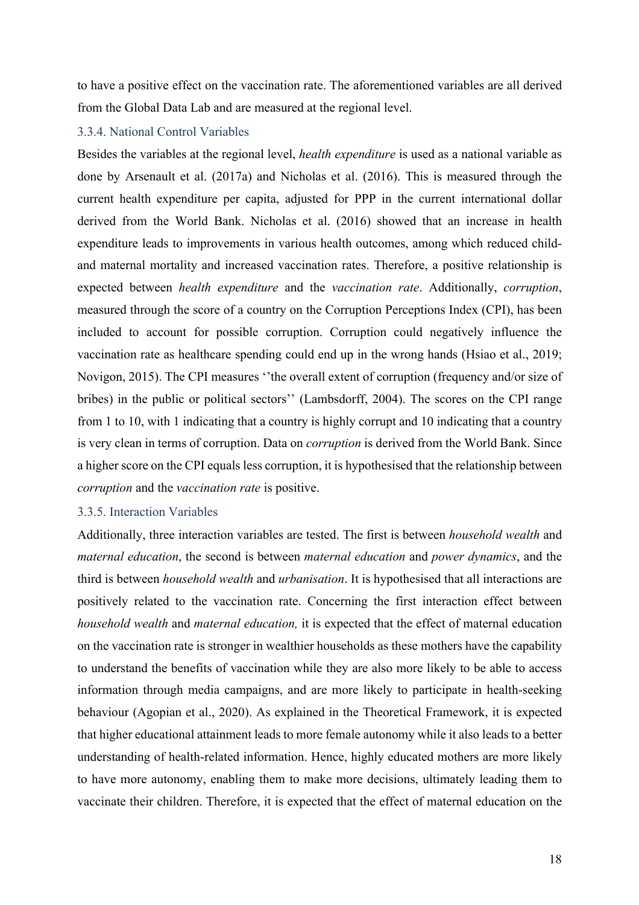to have a positive effect on the vaccination rate. The aforementioned variables are all derived from the Global Data Lab and are measured at the regional level.

#### 3.3.4. National Control Variables

Besides the variables at the regional level, *health expenditure* is used as a national variable as done by Arsenault et al. (2017a) and Nicholas et al. (2016). This is measured through the current health expenditure per capita, adjusted for PPP in the current international dollar derived from the World Bank. Nicholas et al. (2016) showed that an increase in health expenditure leads to improvements in various health outcomes, among which reduced childand maternal mortality and increased vaccination rates. Therefore, a positive relationship is expected between *health expenditure* and the *vaccination rate*. Additionally, *corruption*, measured through the score of a country on the Corruption Perceptions Index (CPI), has been included to account for possible corruption. Corruption could negatively influence the vaccination rate as healthcare spending could end up in the wrong hands (Hsiao et al., 2019; Novigon, 2015). The CPI measures ''the overall extent of corruption (frequency and/or size of bribes) in the public or political sectors'' (Lambsdorff, 2004). The scores on the CPI range from 1 to 10, with 1 indicating that a country is highly corrupt and 10 indicating that a country is very clean in terms of corruption. Data on *corruption* is derived from the World Bank. Since a higher score on the CPI equals less corruption, it is hypothesised that the relationship between *corruption* and the *vaccination rate* is positive.

#### 3.3.5. Interaction Variables

Additionally, three interaction variables are tested. The first is between *household wealth* and *maternal education*, the second is between *maternal education* and *power dynamics*, and the third is between *household wealth* and *urbanisation*. It is hypothesised that all interactions are positively related to the vaccination rate. Concerning the first interaction effect between *household wealth* and *maternal education,* it is expected that the effect of maternal education on the vaccination rate is stronger in wealthier households as these mothers have the capability to understand the benefits of vaccination while they are also more likely to be able to access information through media campaigns, and are more likely to participate in health-seeking behaviour (Agopian et al., 2020). As explained in the Theoretical Framework, it is expected that higher educational attainment leads to more female autonomy while it also leads to a better understanding of health-related information. Hence, highly educated mothers are more likely to have more autonomy, enabling them to make more decisions, ultimately leading them to vaccinate their children. Therefore, it is expected that the effect of maternal education on the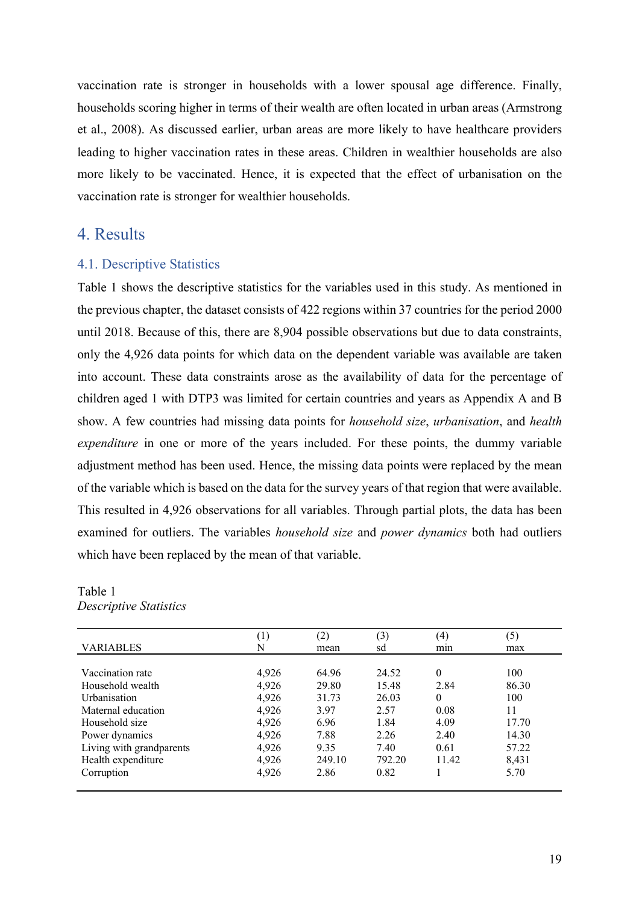vaccination rate is stronger in households with a lower spousal age difference. Finally, households scoring higher in terms of their wealth are often located in urban areas (Armstrong et al., 2008). As discussed earlier, urban areas are more likely to have healthcare providers leading to higher vaccination rates in these areas. Children in wealthier households are also more likely to be vaccinated. Hence, it is expected that the effect of urbanisation on the vaccination rate is stronger for wealthier households.

# 4. Results

#### 4.1. Descriptive Statistics

Table 1 shows the descriptive statistics for the variables used in this study. As mentioned in the previous chapter, the dataset consists of 422 regions within 37 countries for the period 2000 until 2018. Because of this, there are 8,904 possible observations but due to data constraints, only the 4,926 data points for which data on the dependent variable was available are taken into account. These data constraints arose as the availability of data for the percentage of children aged 1 with DTP3 was limited for certain countries and years as Appendix A and B show. A few countries had missing data points for *household size*, *urbanisation*, and *health expenditure* in one or more of the years included. For these points, the dummy variable adjustment method has been used. Hence, the missing data points were replaced by the mean of the variable which is based on the data for the survey years of that region that were available. This resulted in 4,926 observations for all variables. Through partial plots, the data has been examined for outliers. The variables *household size* and *power dynamics* both had outliers which have been replaced by the mean of that variable.

| Table 1                |  |
|------------------------|--|
| Descriptive Statistics |  |

|                          | $\left(1\right)$ | (2)    | (3)    | (4)      | (5)   |
|--------------------------|------------------|--------|--------|----------|-------|
| <b>VARIABLES</b>         | N                | mean   | sd     | min      | max   |
|                          |                  |        |        |          |       |
| Vaccination rate         | 4,926            | 64.96  | 24.52  | $\theta$ | 100   |
| Household wealth         | 4,926            | 29.80  | 15.48  | 2.84     | 86.30 |
| Urbanisation             | 4,926            | 31.73  | 26.03  | $\theta$ | 100   |
| Maternal education       | 4,926            | 3.97   | 2.57   | 0.08     | 11    |
| Household size           | 4,926            | 6.96   | 1.84   | 4.09     | 17.70 |
| Power dynamics           | 4,926            | 7.88   | 2.26   | 2.40     | 14.30 |
| Living with grandparents | 4,926            | 9.35   | 7.40   | 0.61     | 57.22 |
| Health expenditure       | 4,926            | 249.10 | 792.20 | 11.42    | 8,431 |
| Corruption               | 4,926            | 2.86   | 0.82   |          | 5.70  |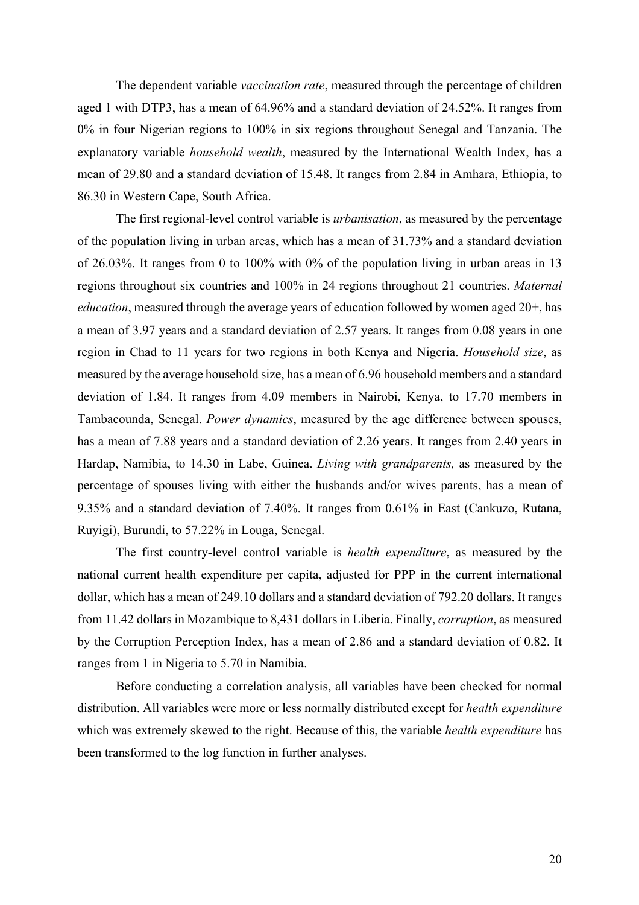The dependent variable *vaccination rate*, measured through the percentage of children aged 1 with DTP3, has a mean of 64.96% and a standard deviation of 24.52%. It ranges from 0% in four Nigerian regions to 100% in six regions throughout Senegal and Tanzania. The explanatory variable *household wealth*, measured by the International Wealth Index, has a mean of 29.80 and a standard deviation of 15.48. It ranges from 2.84 in Amhara, Ethiopia, to 86.30 in Western Cape, South Africa.

The first regional-level control variable is *urbanisation*, as measured by the percentage of the population living in urban areas, which has a mean of 31.73% and a standard deviation of 26.03%. It ranges from 0 to 100% with 0% of the population living in urban areas in 13 regions throughout six countries and 100% in 24 regions throughout 21 countries. *Maternal education*, measured through the average years of education followed by women aged 20+, has a mean of 3.97 years and a standard deviation of 2.57 years. It ranges from 0.08 years in one region in Chad to 11 years for two regions in both Kenya and Nigeria. *Household size*, as measured by the average household size, has a mean of 6.96 household members and a standard deviation of 1.84. It ranges from 4.09 members in Nairobi, Kenya, to 17.70 members in Tambacounda, Senegal. *Power dynamics*, measured by the age difference between spouses, has a mean of 7.88 years and a standard deviation of 2.26 years. It ranges from 2.40 years in Hardap, Namibia, to 14.30 in Labe, Guinea. *Living with grandparents,* as measured by the percentage of spouses living with either the husbands and/or wives parents, has a mean of 9.35% and a standard deviation of 7.40%. It ranges from 0.61% in East (Cankuzo, Rutana, Ruyigi), Burundi, to 57.22% in Louga, Senegal.

The first country-level control variable is *health expenditure*, as measured by the national current health expenditure per capita, adjusted for PPP in the current international dollar, which has a mean of 249.10 dollars and a standard deviation of 792.20 dollars. It ranges from 11.42 dollars in Mozambique to 8,431 dollars in Liberia. Finally, *corruption*, as measured by the Corruption Perception Index, has a mean of 2.86 and a standard deviation of 0.82. It ranges from 1 in Nigeria to 5.70 in Namibia.

Before conducting a correlation analysis, all variables have been checked for normal distribution. All variables were more or less normally distributed except for *health expenditure* which was extremely skewed to the right. Because of this, the variable *health expenditure* has been transformed to the log function in further analyses.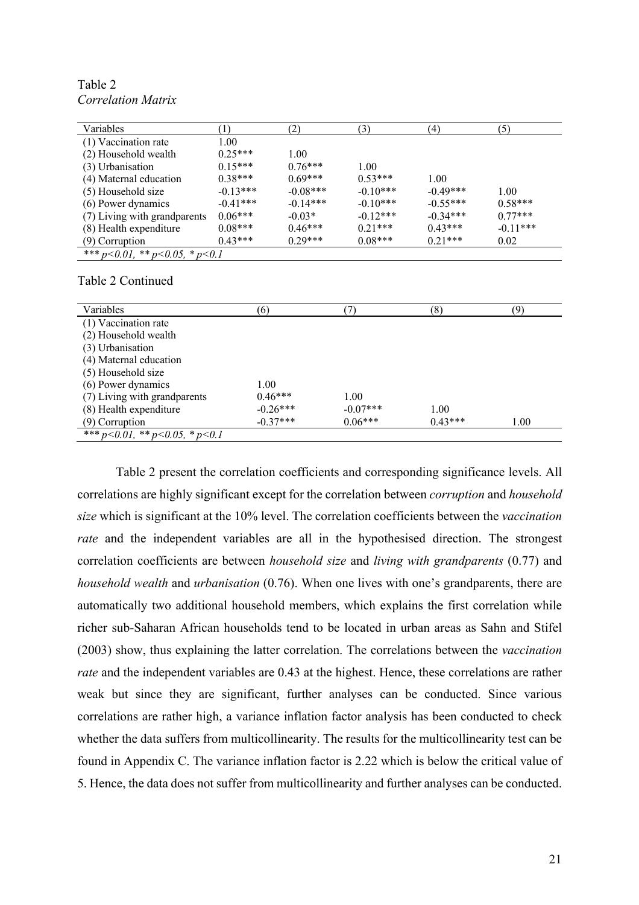| Variables                              |            | (2)        | (3)        | (4)        | (5)        |
|----------------------------------------|------------|------------|------------|------------|------------|
| (1) Vaccination rate                   | 1.00       |            |            |            |            |
| (2) Household wealth                   | $0.25***$  | 1.00       |            |            |            |
| (3) Urbanisation                       | $0.15***$  | $0.76***$  | 1.00       |            |            |
| (4) Maternal education                 | $0.38***$  | $0.69***$  | $0.53***$  | 1.00       |            |
| (5) Household size                     | $-0.13***$ | $-0.08***$ | $-0.10***$ | $-0.49***$ | 1.00       |
| (6) Power dynamics                     | $-0.41***$ | $-0.14***$ | $-0.10***$ | $-0.55***$ | $0.58***$  |
| (7) Living with grandparents           | $0.06***$  | $-0.03*$   | $-0.12***$ | $-0.34***$ | $0.77***$  |
| (8) Health expenditure                 | $0.08***$  | $0.46***$  | $0.21***$  | $0.43***$  | $-0.11***$ |
| $(9)$ Corruption                       | $0.43***$  | $0.29***$  | $0.08***$  | $0.21***$  | 0.02       |
| *** $p<0.01$ , ** $p<0.05$ , * $p<0.1$ |            |            |            |            |            |

Table 2 *Correlation Matrix*

#### Table 2 Continued

| Variables                              | (6)        |            | (8)       | (9)  |
|----------------------------------------|------------|------------|-----------|------|
| (1) Vaccination rate                   |            |            |           |      |
| (2) Household wealth                   |            |            |           |      |
| (3) Urbanisation                       |            |            |           |      |
| (4) Maternal education                 |            |            |           |      |
| (5) Household size                     |            |            |           |      |
| (6) Power dynamics                     | 1.00       |            |           |      |
| (7) Living with grandparents           | $0.46***$  | 1.00       |           |      |
| (8) Health expenditure                 | $-0.26***$ | $-0.07***$ | 1.00      |      |
| $(9)$ Corruption                       | $-0.37***$ | $0.06***$  | $0.43***$ | 1.00 |
| *** $p<0.01$ , ** $p<0.05$ , * $p<0.1$ |            |            |           |      |

Table 2 present the correlation coefficients and corresponding significance levels. All correlations are highly significant except for the correlation between *corruption* and *household size* which is significant at the 10% level. The correlation coefficients between the *vaccination rate* and the independent variables are all in the hypothesised direction. The strongest correlation coefficients are between *household size* and *living with grandparents* (0.77) and *household wealth* and *urbanisation* (0.76). When one lives with one's grandparents, there are automatically two additional household members, which explains the first correlation while richer sub-Saharan African households tend to be located in urban areas as Sahn and Stifel (2003) show, thus explaining the latter correlation. The correlations between the *vaccination rate* and the independent variables are 0.43 at the highest. Hence, these correlations are rather weak but since they are significant, further analyses can be conducted. Since various correlations are rather high, a variance inflation factor analysis has been conducted to check whether the data suffers from multicollinearity. The results for the multicollinearity test can be found in Appendix C. The variance inflation factor is 2.22 which is below the critical value of 5. Hence, the data does not suffer from multicollinearity and further analyses can be conducted.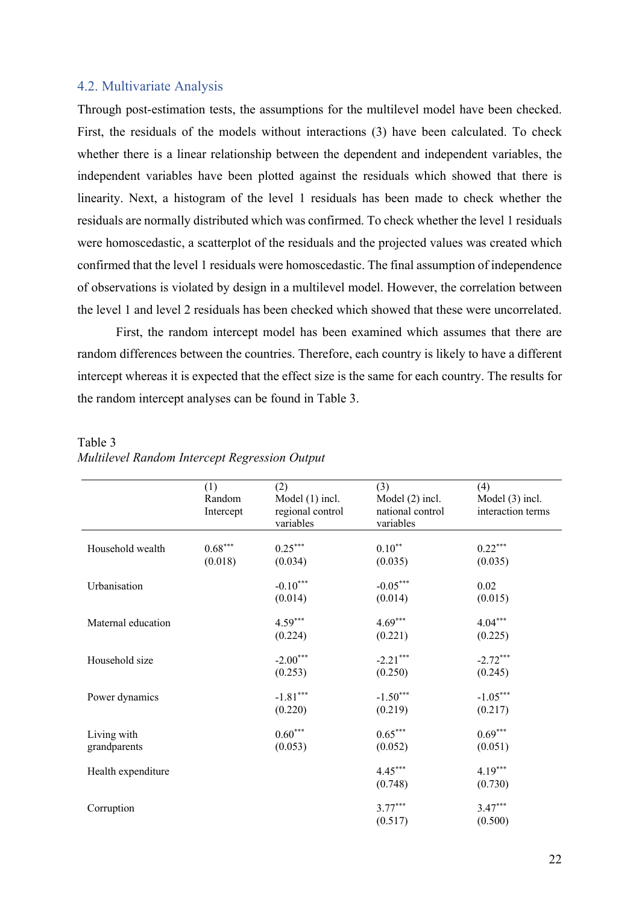#### 4.2. Multivariate Analysis

Through post-estimation tests, the assumptions for the multilevel model have been checked. First, the residuals of the models without interactions (3) have been calculated. To check whether there is a linear relationship between the dependent and independent variables, the independent variables have been plotted against the residuals which showed that there is linearity. Next, a histogram of the level 1 residuals has been made to check whether the residuals are normally distributed which was confirmed. To check whether the level 1 residuals were homoscedastic, a scatterplot of the residuals and the projected values was created which confirmed that the level 1 residuals were homoscedastic. The final assumption of independence of observations is violated by design in a multilevel model. However, the correlation between the level 1 and level 2 residuals has been checked which showed that these were uncorrelated.

First, the random intercept model has been examined which assumes that there are random differences between the countries. Therefore, each country is likely to have a different intercept whereas it is expected that the effect size is the same for each country. The results for the random intercept analyses can be found in Table 3.

|                    | (1)       | (2)               | (3)               | (4)               |
|--------------------|-----------|-------------------|-------------------|-------------------|
|                    | Random    | Model $(1)$ incl. | Model $(2)$ incl. | Model $(3)$ incl. |
|                    | Intercept | regional control  | national control  | interaction terms |
|                    |           | variables         | variables         |                   |
| Household wealth   | $0.68***$ | $0.25***$         | $0.10^{**}$       | $0.22***$         |
|                    | (0.018)   | (0.034)           | (0.035)           | (0.035)           |
|                    |           |                   |                   |                   |
| Urbanisation       |           | $-0.10***$        | $-0.05***$        | 0.02              |
|                    |           | (0.014)           | (0.014)           | (0.015)           |
|                    |           |                   |                   |                   |
| Maternal education |           | $4.59***$         | $4.69***$         | $4.04***$         |
|                    |           | (0.224)           | (0.221)           | (0.225)           |
|                    |           |                   |                   |                   |
| Household size     |           | $-2.00***$        | $-2.21***$        | $-2.72***$        |
|                    |           | (0.253)           | (0.250)           | (0.245)           |
|                    |           |                   |                   |                   |
| Power dynamics     |           | $-1.81***$        | $-1.50***$        | $-1.05***$        |
|                    |           | (0.220)           | (0.219)           | (0.217)           |
| Living with        |           | $0.60***$         | $0.65***$         | $0.69***$         |
| grandparents       |           | (0.053)           | (0.052)           | (0.051)           |
|                    |           |                   |                   |                   |
| Health expenditure |           |                   | $4.45***$         | $4.19***$         |
|                    |           |                   | (0.748)           | (0.730)           |
|                    |           |                   |                   |                   |
| Corruption         |           |                   | $3.77***$         | $3.47***$         |
|                    |           |                   | (0.517)           | (0.500)           |

Table 3 *Multilevel Random Intercept Regression Output*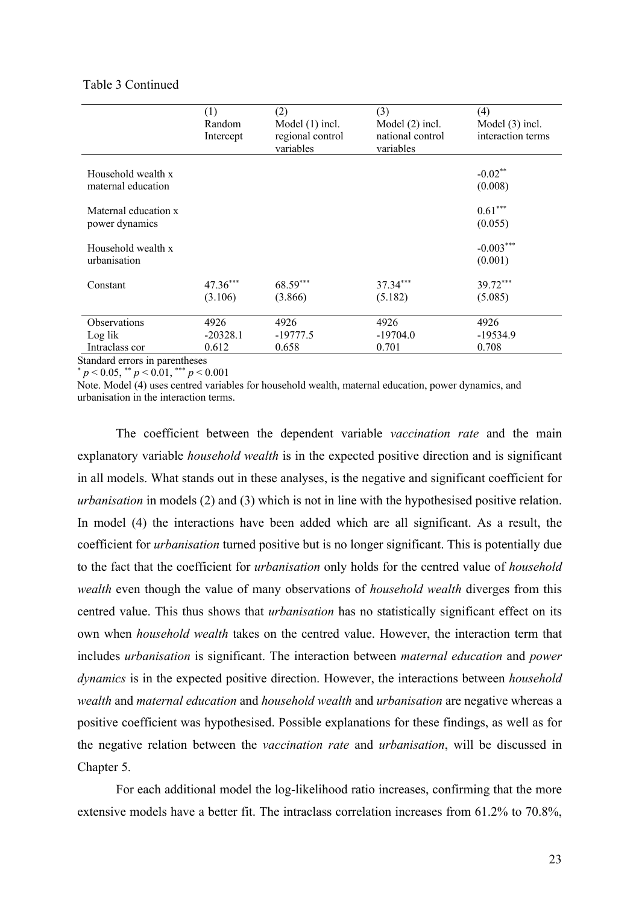#### Table 3 Continued

|                                           | (1)<br>Random<br>Intercept  | (2)<br>Model $(1)$ incl.<br>regional control<br>variables | (3)<br>Model (2) incl.<br>national control<br>variables | (4)<br>Model $(3)$ incl.<br>interaction terms |
|-------------------------------------------|-----------------------------|-----------------------------------------------------------|---------------------------------------------------------|-----------------------------------------------|
| Household wealth x<br>maternal education  |                             |                                                           |                                                         | $-0.02**$<br>(0.008)                          |
| Maternal education x<br>power dynamics    |                             |                                                           |                                                         | $0.61***$<br>(0.055)                          |
| Household wealth x<br>urbanisation        |                             |                                                           |                                                         | $-0.003***$<br>(0.001)                        |
| Constant                                  | $47.36***$<br>(3.106)       | 68.59***<br>(3.866)                                       | 37.34***<br>(5.182)                                     | 39.72***<br>(5.085)                           |
| Observations<br>Log lik<br>Intraclass cor | 4926<br>$-20328.1$<br>0.612 | 4926<br>$-19777.5$<br>0.658                               | 4926<br>$-19704.0$<br>0.701                             | 4926<br>$-19534.9$<br>0.708                   |

Standard errors in parentheses

 $p < 0.05$ , \*\*  $p < 0.01$ , \*\*\*  $p < 0.001$ 

Note. Model (4) uses centred variables for household wealth, maternal education, power dynamics, and urbanisation in the interaction terms.

The coefficient between the dependent variable *vaccination rate* and the main explanatory variable *household wealth* is in the expected positive direction and is significant in all models. What stands out in these analyses, is the negative and significant coefficient for *urbanisation* in models (2) and (3) which is not in line with the hypothesised positive relation. In model (4) the interactions have been added which are all significant. As a result, the coefficient for *urbanisation* turned positive but is no longer significant. This is potentially due to the fact that the coefficient for *urbanisation* only holds for the centred value of *household wealth* even though the value of many observations of *household wealth* diverges from this centred value. This thus shows that *urbanisation* has no statistically significant effect on its own when *household wealth* takes on the centred value. However, the interaction term that includes *urbanisation* is significant. The interaction between *maternal education* and *power dynamics* is in the expected positive direction. However, the interactions between *household wealth* and *maternal education* and *household wealth* and *urbanisation* are negative whereas a positive coefficient was hypothesised. Possible explanations for these findings, as well as for the negative relation between the *vaccination rate* and *urbanisation*, will be discussed in Chapter 5.

For each additional model the log-likelihood ratio increases, confirming that the more extensive models have a better fit. The intraclass correlation increases from 61.2% to 70.8%,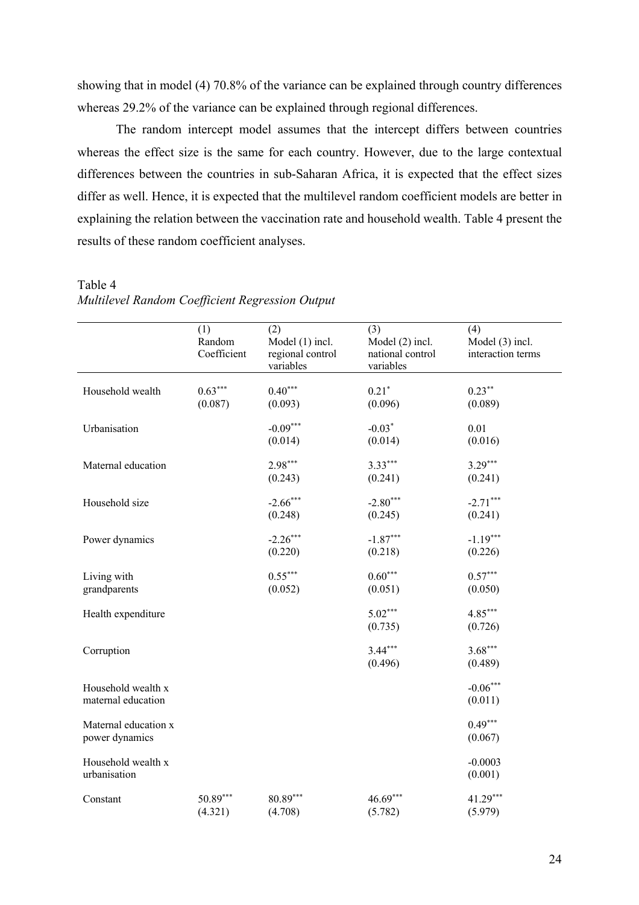showing that in model (4) 70.8% of the variance can be explained through country differences whereas 29.2% of the variance can be explained through regional differences.

The random intercept model assumes that the intercept differs between countries whereas the effect size is the same for each country. However, due to the large contextual differences between the countries in sub-Saharan Africa, it is expected that the effect sizes differ as well. Hence, it is expected that the multilevel random coefficient models are better in explaining the relation between the vaccination rate and household wealth. Table 4 present the results of these random coefficient analyses.

Table 4

| Multilevel Random Coefficient Regression Output |  |  |
|-------------------------------------------------|--|--|
|                                                 |  |  |

|                                          | (1)<br>Random<br>Coefficient | (2)<br>Model (1) incl.<br>regional control<br>variables | (3)<br>Model (2) incl.<br>national control<br>variables | (4)<br>Model (3) incl.<br>interaction terms |
|------------------------------------------|------------------------------|---------------------------------------------------------|---------------------------------------------------------|---------------------------------------------|
| Household wealth                         | $0.63***$<br>(0.087)         | $0.40***$<br>(0.093)                                    | $0.21*$<br>(0.096)                                      | $0.23***$<br>(0.089)                        |
| Urbanisation                             |                              | $-0.09***$<br>(0.014)                                   | $-0.03*$<br>(0.014)                                     | 0.01<br>(0.016)                             |
| Maternal education                       |                              | $2.98***$<br>(0.243)                                    | $3.33***$<br>(0.241)                                    | $3.29***$<br>(0.241)                        |
| Household size                           |                              | $-2.66***$<br>(0.248)                                   | $-2.80***$<br>(0.245)                                   | $-2.71***$<br>(0.241)                       |
| Power dynamics                           |                              | $-2.26***$<br>(0.220)                                   | $-1.87***$<br>(0.218)                                   | $-1.19***$<br>(0.226)                       |
| Living with<br>grandparents              |                              | $0.55***$<br>(0.052)                                    | $0.60***$<br>(0.051)                                    | $0.57***$<br>(0.050)                        |
| Health expenditure                       |                              |                                                         | $5.02***$<br>(0.735)                                    | $4.85***$<br>(0.726)                        |
| Corruption                               |                              |                                                         | $3.44***$<br>(0.496)                                    | $3.68***$<br>(0.489)                        |
| Household wealth x<br>maternal education |                              |                                                         |                                                         | $-0.06***$<br>(0.011)                       |
| Maternal education x<br>power dynamics   |                              |                                                         |                                                         | $0.49***$<br>(0.067)                        |
| Household wealth x<br>urbanisation       |                              |                                                         |                                                         | $-0.0003$<br>(0.001)                        |
| Constant                                 | $50.89***$<br>(4.321)        | 80.89***<br>(4.708)                                     | $46.69***$<br>(5.782)                                   | $41.29***$<br>(5.979)                       |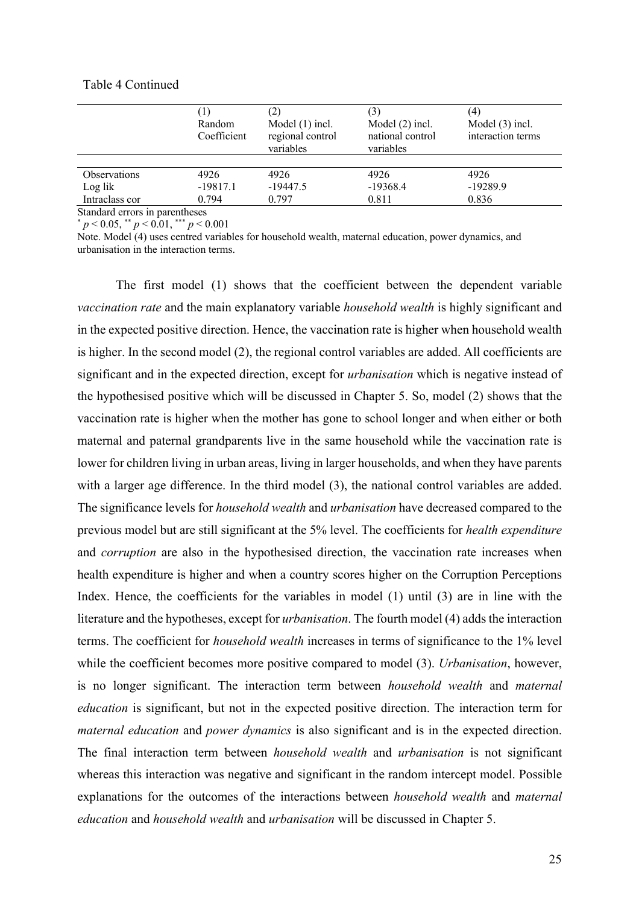|                                | Random<br>Coefficient | (2)<br>Model $(1)$ incl.<br>regional control<br>variables | Model $(2)$ incl.<br>national control<br>variables | (4)<br>Model $(3)$ incl.<br>interaction terms |
|--------------------------------|-----------------------|-----------------------------------------------------------|----------------------------------------------------|-----------------------------------------------|
| <b>Observations</b>            | 4926                  | 4926                                                      | 4926                                               | 4926                                          |
| Log lik                        | $-19817.1$            | $-19447.5$                                                | $-19368.4$                                         | $-19289.9$                                    |
| Intraclass cor                 | 0.794                 | 0.797                                                     | 0.811                                              | 0.836                                         |
| Standard errors in parentheses |                       |                                                           |                                                    |                                               |

#### Table 4 Continued

\* *p* < 0.05, \*\* *p* < 0.01, \*\*\* *p* < 0.001

Note. Model (4) uses centred variables for household wealth, maternal education, power dynamics, and urbanisation in the interaction terms.

The first model (1) shows that the coefficient between the dependent variable *vaccination rate* and the main explanatory variable *household wealth* is highly significant and in the expected positive direction. Hence, the vaccination rate is higher when household wealth is higher. In the second model (2), the regional control variables are added. All coefficients are significant and in the expected direction, except for *urbanisation* which is negative instead of the hypothesised positive which will be discussed in Chapter 5. So, model (2) shows that the vaccination rate is higher when the mother has gone to school longer and when either or both maternal and paternal grandparents live in the same household while the vaccination rate is lower for children living in urban areas, living in larger households, and when they have parents with a larger age difference. In the third model (3), the national control variables are added. The significance levels for *household wealth* and *urbanisation* have decreased compared to the previous model but are still significant at the 5% level. The coefficients for *health expenditure* and *corruption* are also in the hypothesised direction, the vaccination rate increases when health expenditure is higher and when a country scores higher on the Corruption Perceptions Index. Hence, the coefficients for the variables in model (1) until (3) are in line with the literature and the hypotheses, except for *urbanisation*. The fourth model (4) adds the interaction terms. The coefficient for *household wealth* increases in terms of significance to the 1% level while the coefficient becomes more positive compared to model (3). *Urbanisation*, however, is no longer significant. The interaction term between *household wealth* and *maternal education* is significant, but not in the expected positive direction. The interaction term for *maternal education* and *power dynamics* is also significant and is in the expected direction. The final interaction term between *household wealth* and *urbanisation* is not significant whereas this interaction was negative and significant in the random intercept model. Possible explanations for the outcomes of the interactions between *household wealth* and *maternal education* and *household wealth* and *urbanisation* will be discussed in Chapter 5.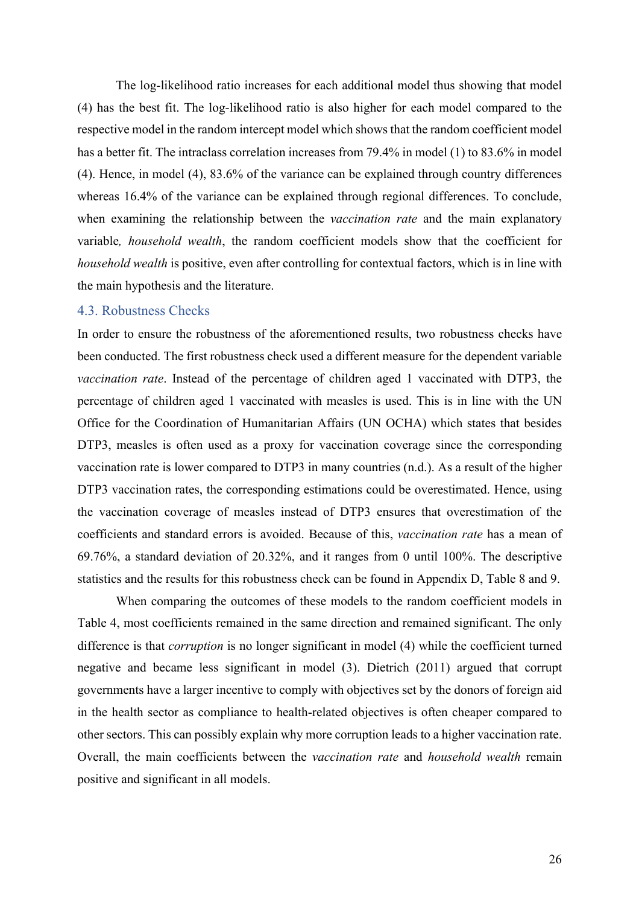The log-likelihood ratio increases for each additional model thus showing that model (4) has the best fit. The log-likelihood ratio is also higher for each model compared to the respective model in the random intercept model which shows that the random coefficient model has a better fit. The intraclass correlation increases from 79.4% in model (1) to 83.6% in model (4). Hence, in model (4), 83.6% of the variance can be explained through country differences whereas 16.4% of the variance can be explained through regional differences. To conclude, when examining the relationship between the *vaccination rate* and the main explanatory variable*, household wealth*, the random coefficient models show that the coefficient for *household wealth* is positive, even after controlling for contextual factors, which is in line with the main hypothesis and the literature.

#### 4.3. Robustness Checks

In order to ensure the robustness of the aforementioned results, two robustness checks have been conducted. The first robustness check used a different measure for the dependent variable *vaccination rate*. Instead of the percentage of children aged 1 vaccinated with DTP3, the percentage of children aged 1 vaccinated with measles is used. This is in line with the UN Office for the Coordination of Humanitarian Affairs (UN OCHA) which states that besides DTP3, measles is often used as a proxy for vaccination coverage since the corresponding vaccination rate is lower compared to DTP3 in many countries (n.d.). As a result of the higher DTP3 vaccination rates, the corresponding estimations could be overestimated. Hence, using the vaccination coverage of measles instead of DTP3 ensures that overestimation of the coefficients and standard errors is avoided. Because of this, *vaccination rate* has a mean of 69.76%, a standard deviation of 20.32%, and it ranges from 0 until 100%. The descriptive statistics and the results for this robustness check can be found in Appendix D, Table 8 and 9.

When comparing the outcomes of these models to the random coefficient models in Table 4, most coefficients remained in the same direction and remained significant. The only difference is that *corruption* is no longer significant in model (4) while the coefficient turned negative and became less significant in model (3). Dietrich (2011) argued that corrupt governments have a larger incentive to comply with objectives set by the donors of foreign aid in the health sector as compliance to health-related objectives is often cheaper compared to other sectors. This can possibly explain why more corruption leads to a higher vaccination rate. Overall, the main coefficients between the *vaccination rate* and *household wealth* remain positive and significant in all models.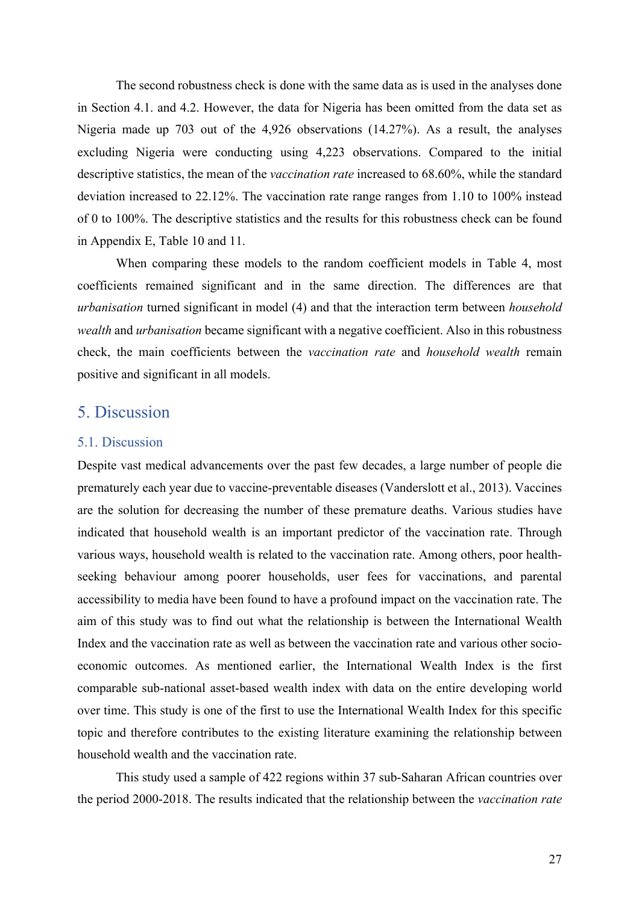The second robustness check is done with the same data as is used in the analyses done in Section 4.1. and 4.2. However, the data for Nigeria has been omitted from the data set as Nigeria made up 703 out of the 4,926 observations (14.27%). As a result, the analyses excluding Nigeria were conducting using 4,223 observations. Compared to the initial descriptive statistics, the mean of the *vaccination rate* increased to 68.60%, while the standard deviation increased to 22.12%. The vaccination rate range ranges from 1.10 to 100% instead of 0 to 100%. The descriptive statistics and the results for this robustness check can be found in Appendix E, Table 10 and 11.

When comparing these models to the random coefficient models in Table 4, most coefficients remained significant and in the same direction. The differences are that *urbanisation* turned significant in model (4) and that the interaction term between *household wealth* and *urbanisation* became significant with a negative coefficient. Also in this robustness check, the main coefficients between the *vaccination rate* and *household wealth* remain positive and significant in all models.

### 5. Discussion

#### 5.1. Discussion

Despite vast medical advancements over the past few decades, a large number of people die prematurely each year due to vaccine-preventable diseases (Vanderslott et al., 2013). Vaccines are the solution for decreasing the number of these premature deaths. Various studies have indicated that household wealth is an important predictor of the vaccination rate. Through various ways, household wealth is related to the vaccination rate. Among others, poor healthseeking behaviour among poorer households, user fees for vaccinations, and parental accessibility to media have been found to have a profound impact on the vaccination rate. The aim of this study was to find out what the relationship is between the International Wealth Index and the vaccination rate as well as between the vaccination rate and various other socioeconomic outcomes. As mentioned earlier, the International Wealth Index is the first comparable sub-national asset-based wealth index with data on the entire developing world over time. This study is one of the first to use the International Wealth Index for this specific topic and therefore contributes to the existing literature examining the relationship between household wealth and the vaccination rate.

This study used a sample of 422 regions within 37 sub-Saharan African countries over the period 2000-2018. The results indicated that the relationship between the *vaccination rate*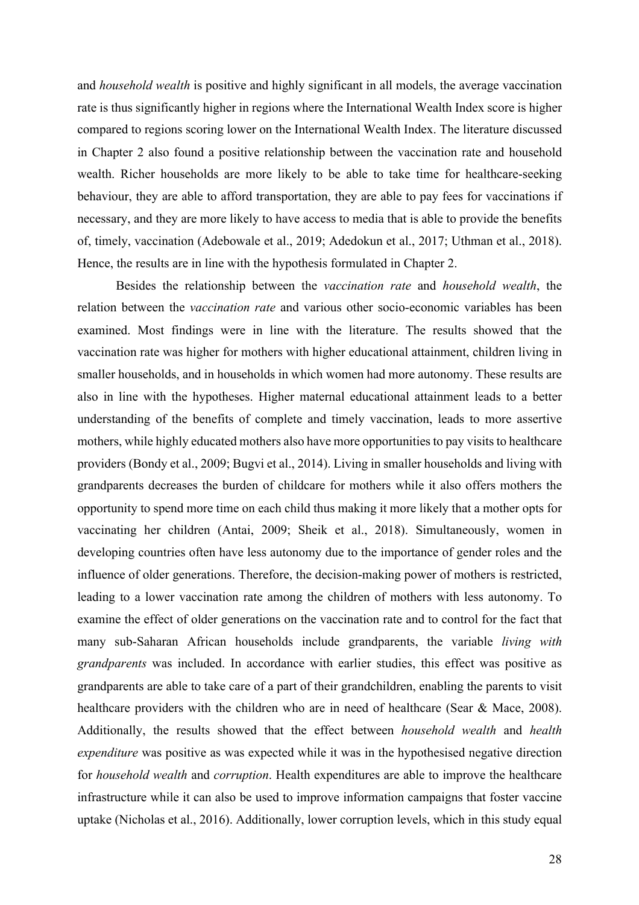and *household wealth* is positive and highly significant in all models, the average vaccination rate is thus significantly higher in regions where the International Wealth Index score is higher compared to regions scoring lower on the International Wealth Index. The literature discussed in Chapter 2 also found a positive relationship between the vaccination rate and household wealth. Richer households are more likely to be able to take time for healthcare-seeking behaviour, they are able to afford transportation, they are able to pay fees for vaccinations if necessary, and they are more likely to have access to media that is able to provide the benefits of, timely, vaccination (Adebowale et al., 2019; Adedokun et al., 2017; Uthman et al., 2018). Hence, the results are in line with the hypothesis formulated in Chapter 2.

Besides the relationship between the *vaccination rate* and *household wealth*, the relation between the *vaccination rate* and various other socio-economic variables has been examined. Most findings were in line with the literature. The results showed that the vaccination rate was higher for mothers with higher educational attainment, children living in smaller households, and in households in which women had more autonomy. These results are also in line with the hypotheses. Higher maternal educational attainment leads to a better understanding of the benefits of complete and timely vaccination, leads to more assertive mothers, while highly educated mothers also have more opportunities to pay visits to healthcare providers (Bondy et al., 2009; Bugvi et al., 2014). Living in smaller households and living with grandparents decreases the burden of childcare for mothers while it also offers mothers the opportunity to spend more time on each child thus making it more likely that a mother opts for vaccinating her children (Antai, 2009; Sheik et al., 2018). Simultaneously, women in developing countries often have less autonomy due to the importance of gender roles and the influence of older generations. Therefore, the decision-making power of mothers is restricted, leading to a lower vaccination rate among the children of mothers with less autonomy. To examine the effect of older generations on the vaccination rate and to control for the fact that many sub-Saharan African households include grandparents, the variable *living with grandparents* was included. In accordance with earlier studies, this effect was positive as grandparents are able to take care of a part of their grandchildren, enabling the parents to visit healthcare providers with the children who are in need of healthcare (Sear & Mace, 2008). Additionally, the results showed that the effect between *household wealth* and *health expenditure* was positive as was expected while it was in the hypothesised negative direction for *household wealth* and *corruption*. Health expenditures are able to improve the healthcare infrastructure while it can also be used to improve information campaigns that foster vaccine uptake (Nicholas et al., 2016). Additionally, lower corruption levels, which in this study equal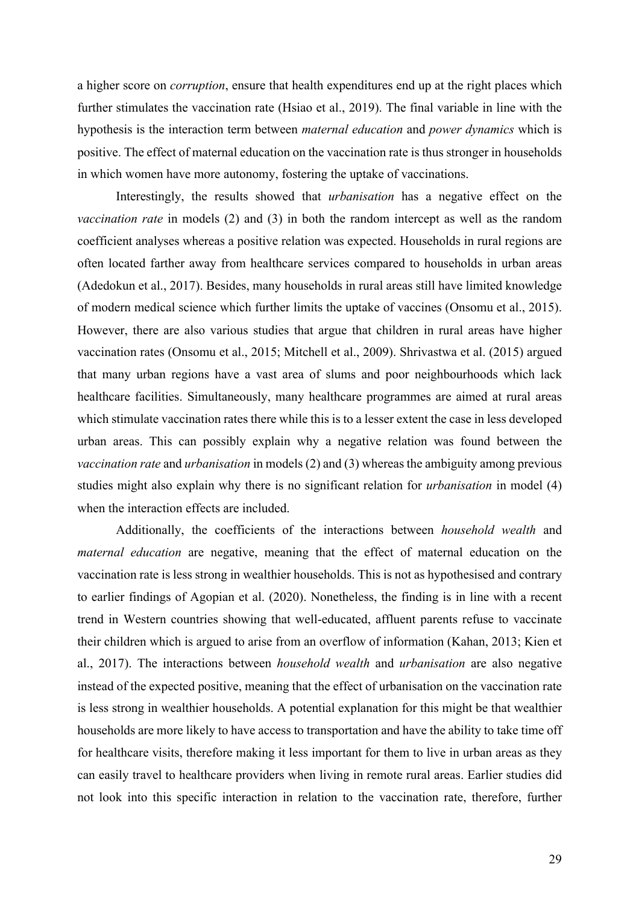a higher score on *corruption*, ensure that health expenditures end up at the right places which further stimulates the vaccination rate (Hsiao et al., 2019). The final variable in line with the hypothesis is the interaction term between *maternal education* and *power dynamics* which is positive. The effect of maternal education on the vaccination rate is thus stronger in households in which women have more autonomy, fostering the uptake of vaccinations.

Interestingly, the results showed that *urbanisation* has a negative effect on the *vaccination rate* in models (2) and (3) in both the random intercept as well as the random coefficient analyses whereas a positive relation was expected. Households in rural regions are often located farther away from healthcare services compared to households in urban areas (Adedokun et al., 2017). Besides, many households in rural areas still have limited knowledge of modern medical science which further limits the uptake of vaccines (Onsomu et al., 2015). However, there are also various studies that argue that children in rural areas have higher vaccination rates (Onsomu et al., 2015; Mitchell et al., 2009). Shrivastwa et al. (2015) argued that many urban regions have a vast area of slums and poor neighbourhoods which lack healthcare facilities. Simultaneously, many healthcare programmes are aimed at rural areas which stimulate vaccination rates there while this is to a lesser extent the case in less developed urban areas. This can possibly explain why a negative relation was found between the *vaccination rate* and *urbanisation* in models (2) and (3) whereas the ambiguity among previous studies might also explain why there is no significant relation for *urbanisation* in model (4) when the interaction effects are included.

Additionally, the coefficients of the interactions between *household wealth* and *maternal education* are negative, meaning that the effect of maternal education on the vaccination rate is less strong in wealthier households. This is not as hypothesised and contrary to earlier findings of Agopian et al. (2020). Nonetheless, the finding is in line with a recent trend in Western countries showing that well-educated, affluent parents refuse to vaccinate their children which is argued to arise from an overflow of information (Kahan, 2013; Kien et al., 2017). The interactions between *household wealth* and *urbanisation* are also negative instead of the expected positive, meaning that the effect of urbanisation on the vaccination rate is less strong in wealthier households. A potential explanation for this might be that wealthier households are more likely to have access to transportation and have the ability to take time off for healthcare visits, therefore making it less important for them to live in urban areas as they can easily travel to healthcare providers when living in remote rural areas. Earlier studies did not look into this specific interaction in relation to the vaccination rate, therefore, further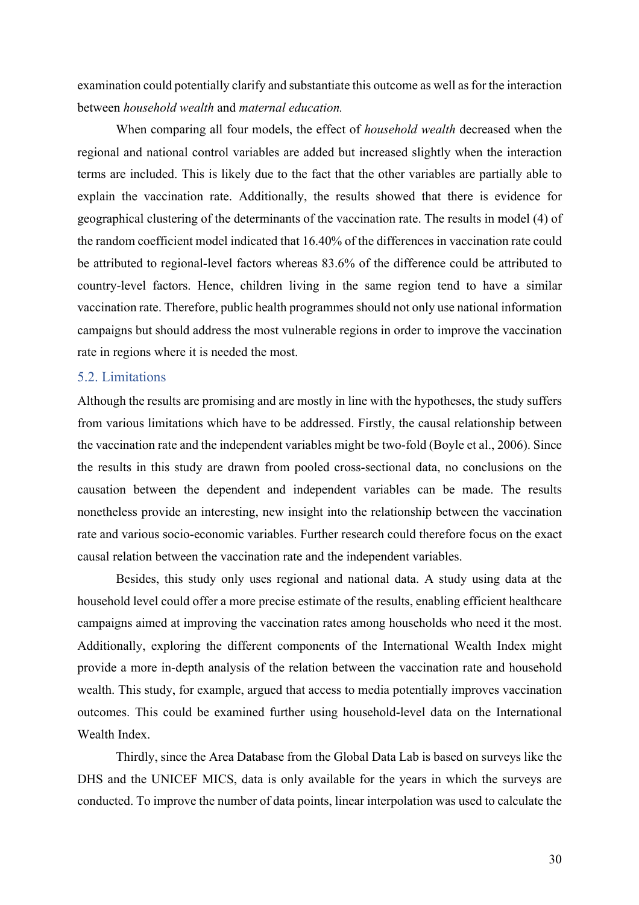examination could potentially clarify and substantiate this outcome as well as for the interaction between *household wealth* and *maternal education.*

When comparing all four models, the effect of *household wealth* decreased when the regional and national control variables are added but increased slightly when the interaction terms are included. This is likely due to the fact that the other variables are partially able to explain the vaccination rate. Additionally, the results showed that there is evidence for geographical clustering of the determinants of the vaccination rate. The results in model (4) of the random coefficient model indicated that 16.40% of the differences in vaccination rate could be attributed to regional-level factors whereas 83.6% of the difference could be attributed to country-level factors. Hence, children living in the same region tend to have a similar vaccination rate. Therefore, public health programmes should not only use national information campaigns but should address the most vulnerable regions in order to improve the vaccination rate in regions where it is needed the most.

#### 5.2. Limitations

Although the results are promising and are mostly in line with the hypotheses, the study suffers from various limitations which have to be addressed. Firstly, the causal relationship between the vaccination rate and the independent variables might be two-fold (Boyle et al., 2006). Since the results in this study are drawn from pooled cross-sectional data, no conclusions on the causation between the dependent and independent variables can be made. The results nonetheless provide an interesting, new insight into the relationship between the vaccination rate and various socio-economic variables. Further research could therefore focus on the exact causal relation between the vaccination rate and the independent variables.

Besides, this study only uses regional and national data. A study using data at the household level could offer a more precise estimate of the results, enabling efficient healthcare campaigns aimed at improving the vaccination rates among households who need it the most. Additionally, exploring the different components of the International Wealth Index might provide a more in-depth analysis of the relation between the vaccination rate and household wealth. This study, for example, argued that access to media potentially improves vaccination outcomes. This could be examined further using household-level data on the International Wealth Index.

Thirdly, since the Area Database from the Global Data Lab is based on surveys like the DHS and the UNICEF MICS, data is only available for the years in which the surveys are conducted. To improve the number of data points, linear interpolation was used to calculate the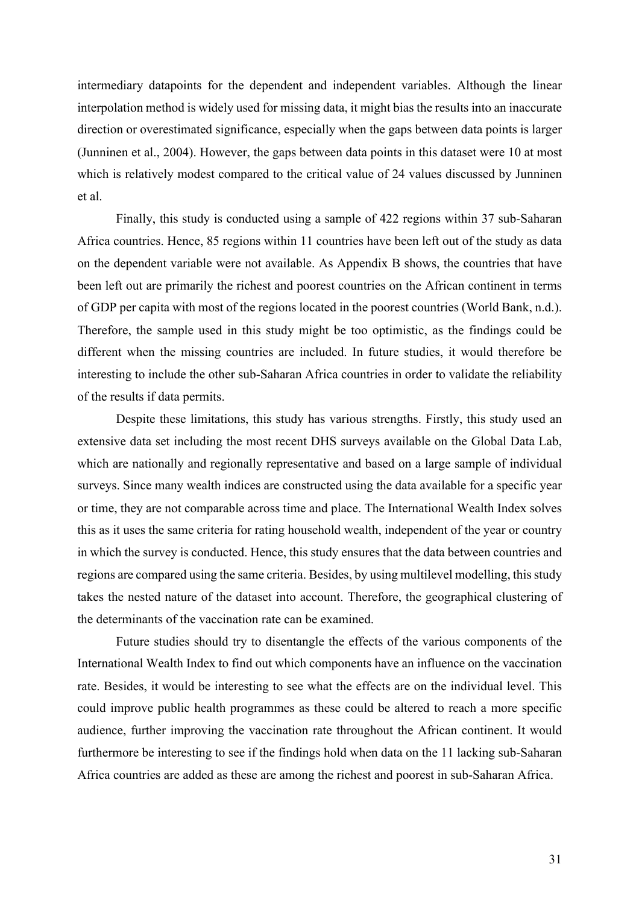intermediary datapoints for the dependent and independent variables. Although the linear interpolation method is widely used for missing data, it might bias the results into an inaccurate direction or overestimated significance, especially when the gaps between data points is larger (Junninen et al., 2004). However, the gaps between data points in this dataset were 10 at most which is relatively modest compared to the critical value of 24 values discussed by Junninen et al.

Finally, this study is conducted using a sample of 422 regions within 37 sub-Saharan Africa countries. Hence, 85 regions within 11 countries have been left out of the study as data on the dependent variable were not available. As Appendix B shows, the countries that have been left out are primarily the richest and poorest countries on the African continent in terms of GDP per capita with most of the regions located in the poorest countries (World Bank, n.d.). Therefore, the sample used in this study might be too optimistic, as the findings could be different when the missing countries are included. In future studies, it would therefore be interesting to include the other sub-Saharan Africa countries in order to validate the reliability of the results if data permits.

Despite these limitations, this study has various strengths. Firstly, this study used an extensive data set including the most recent DHS surveys available on the Global Data Lab, which are nationally and regionally representative and based on a large sample of individual surveys. Since many wealth indices are constructed using the data available for a specific year or time, they are not comparable across time and place. The International Wealth Index solves this as it uses the same criteria for rating household wealth, independent of the year or country in which the survey is conducted. Hence, this study ensures that the data between countries and regions are compared using the same criteria. Besides, by using multilevel modelling, this study takes the nested nature of the dataset into account. Therefore, the geographical clustering of the determinants of the vaccination rate can be examined.

Future studies should try to disentangle the effects of the various components of the International Wealth Index to find out which components have an influence on the vaccination rate. Besides, it would be interesting to see what the effects are on the individual level. This could improve public health programmes as these could be altered to reach a more specific audience, further improving the vaccination rate throughout the African continent. It would furthermore be interesting to see if the findings hold when data on the 11 lacking sub-Saharan Africa countries are added as these are among the richest and poorest in sub-Saharan Africa.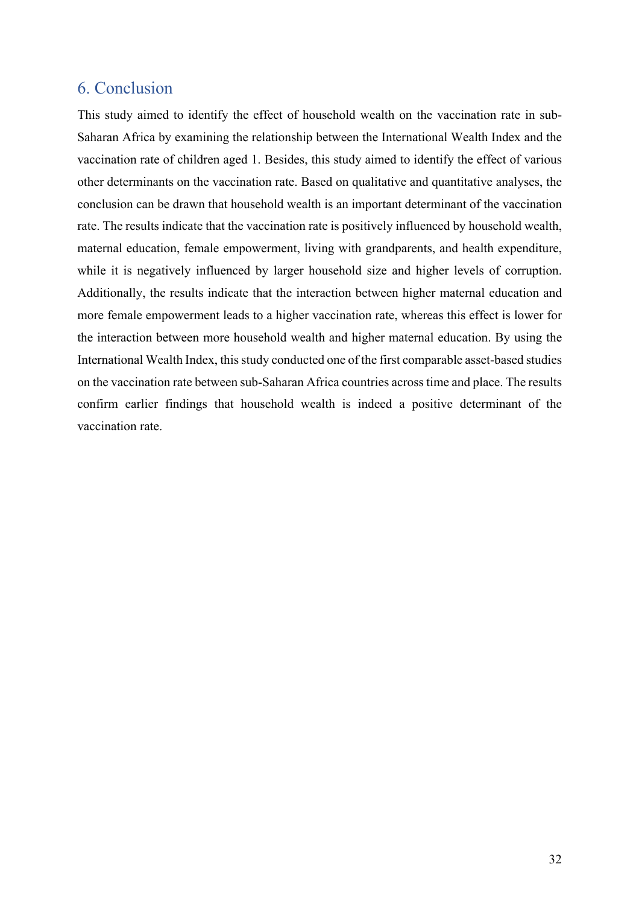# 6. Conclusion

This study aimed to identify the effect of household wealth on the vaccination rate in sub-Saharan Africa by examining the relationship between the International Wealth Index and the vaccination rate of children aged 1. Besides, this study aimed to identify the effect of various other determinants on the vaccination rate. Based on qualitative and quantitative analyses, the conclusion can be drawn that household wealth is an important determinant of the vaccination rate. The results indicate that the vaccination rate is positively influenced by household wealth, maternal education, female empowerment, living with grandparents, and health expenditure, while it is negatively influenced by larger household size and higher levels of corruption. Additionally, the results indicate that the interaction between higher maternal education and more female empowerment leads to a higher vaccination rate, whereas this effect is lower for the interaction between more household wealth and higher maternal education. By using the International Wealth Index, this study conducted one of the first comparable asset-based studies on the vaccination rate between sub-Saharan Africa countries across time and place. The results confirm earlier findings that household wealth is indeed a positive determinant of the vaccination rate.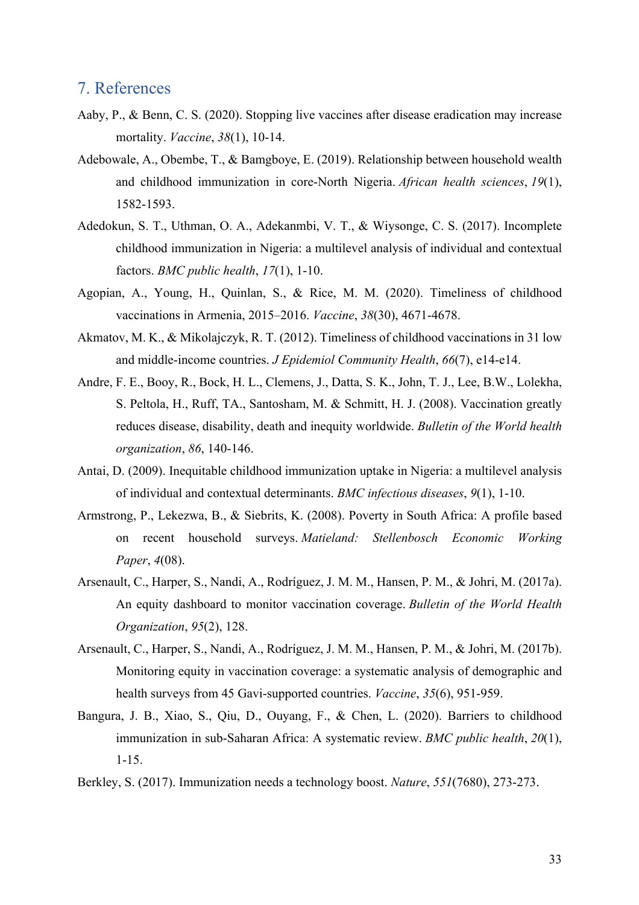### 7. References

- Aaby, P., & Benn, C. S. (2020). Stopping live vaccines after disease eradication may increase mortality. *Vaccine*, *38*(1), 10-14.
- Adebowale, A., Obembe, T., & Bamgboye, E. (2019). Relationship between household wealth and childhood immunization in core-North Nigeria. *African health sciences*, *19*(1), 1582-1593.
- Adedokun, S. T., Uthman, O. A., Adekanmbi, V. T., & Wiysonge, C. S. (2017). Incomplete childhood immunization in Nigeria: a multilevel analysis of individual and contextual factors. *BMC public health*, *17*(1), 1-10.
- Agopian, A., Young, H., Quinlan, S., & Rice, M. M. (2020). Timeliness of childhood vaccinations in Armenia, 2015–2016. *Vaccine*, *38*(30), 4671-4678.
- Akmatov, M. K., & Mikolajczyk, R. T. (2012). Timeliness of childhood vaccinations in 31 low and middle-income countries. *J Epidemiol Community Health*, *66*(7), e14-e14.
- Andre, F. E., Booy, R., Bock, H. L., Clemens, J., Datta, S. K., John, T. J., Lee, B.W., Lolekha, S. Peltola, H., Ruff, TA., Santosham, M. & Schmitt, H. J. (2008). Vaccination greatly reduces disease, disability, death and inequity worldwide. *Bulletin of the World health organization*, *86*, 140-146.
- Antai, D. (2009). Inequitable childhood immunization uptake in Nigeria: a multilevel analysis of individual and contextual determinants. *BMC infectious diseases*, *9*(1), 1-10.
- Armstrong, P., Lekezwa, B., & Siebrits, K. (2008). Poverty in South Africa: A profile based on recent household surveys. *Matieland: Stellenbosch Economic Working Paper*, *4*(08).
- Arsenault, C., Harper, S., Nandi, A., Rodríguez, J. M. M., Hansen, P. M., & Johri, M. (2017a). An equity dashboard to monitor vaccination coverage. *Bulletin of the World Health Organization*, *95*(2), 128.
- Arsenault, C., Harper, S., Nandi, A., Rodríguez, J. M. M., Hansen, P. M., & Johri, M. (2017b). Monitoring equity in vaccination coverage: a systematic analysis of demographic and health surveys from 45 Gavi-supported countries. *Vaccine*, *35*(6), 951-959.
- Bangura, J. B., Xiao, S., Qiu, D., Ouyang, F., & Chen, L. (2020). Barriers to childhood immunization in sub-Saharan Africa: A systematic review. *BMC public health*, *20*(1), 1-15.
- Berkley, S. (2017). Immunization needs a technology boost. *Nature*, *551*(7680), 273-273.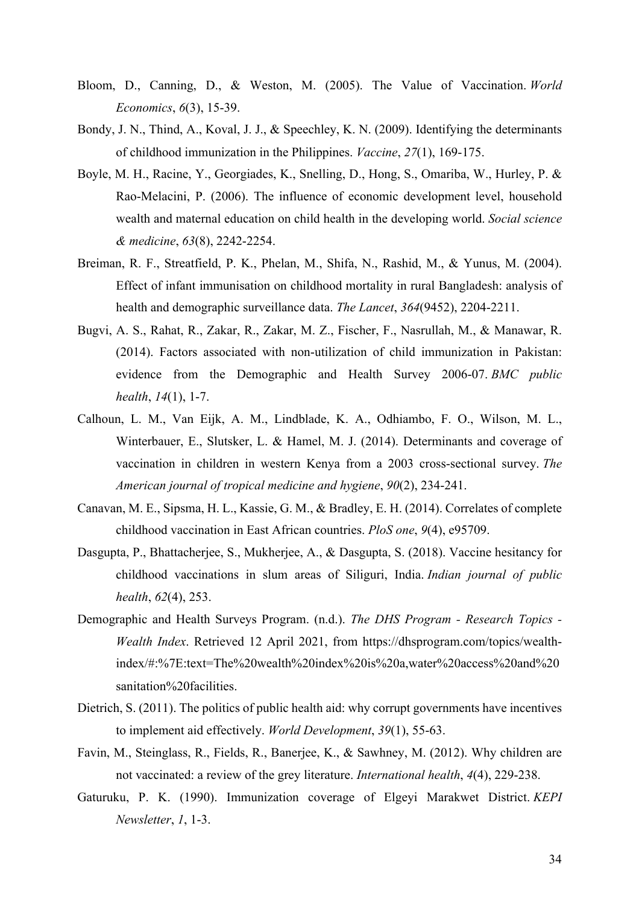- Bloom, D., Canning, D., & Weston, M. (2005). The Value of Vaccination. *World Economics*, *6*(3), 15-39.
- Bondy, J. N., Thind, A., Koval, J. J., & Speechley, K. N. (2009). Identifying the determinants of childhood immunization in the Philippines. *Vaccine*, *27*(1), 169-175.
- Boyle, M. H., Racine, Y., Georgiades, K., Snelling, D., Hong, S., Omariba, W., Hurley, P. & Rao-Melacini, P. (2006). The influence of economic development level, household wealth and maternal education on child health in the developing world. *Social science & medicine*, *63*(8), 2242-2254.
- Breiman, R. F., Streatfield, P. K., Phelan, M., Shifa, N., Rashid, M., & Yunus, M. (2004). Effect of infant immunisation on childhood mortality in rural Bangladesh: analysis of health and demographic surveillance data. *The Lancet*, *364*(9452), 2204-2211.
- Bugvi, A. S., Rahat, R., Zakar, R., Zakar, M. Z., Fischer, F., Nasrullah, M., & Manawar, R. (2014). Factors associated with non-utilization of child immunization in Pakistan: evidence from the Demographic and Health Survey 2006-07. *BMC public health*, *14*(1), 1-7.
- Calhoun, L. M., Van Eijk, A. M., Lindblade, K. A., Odhiambo, F. O., Wilson, M. L., Winterbauer, E., Slutsker, L. & Hamel, M. J. (2014). Determinants and coverage of vaccination in children in western Kenya from a 2003 cross-sectional survey. *The American journal of tropical medicine and hygiene*, *90*(2), 234-241.
- Canavan, M. E., Sipsma, H. L., Kassie, G. M., & Bradley, E. H. (2014). Correlates of complete childhood vaccination in East African countries. *PloS one*, *9*(4), e95709.
- Dasgupta, P., Bhattacherjee, S., Mukherjee, A., & Dasgupta, S. (2018). Vaccine hesitancy for childhood vaccinations in slum areas of Siliguri, India. *Indian journal of public health*, *62*(4), 253.
- Demographic and Health Surveys Program. (n.d.). *The DHS Program - Research Topics - Wealth Index*. Retrieved 12 April 2021, from https://dhsprogram.com/topics/wealthindex/#:%7E:text=The%20wealth%20index%20is%20a,water%20access%20and%20 sanitation%20facilities.
- Dietrich, S. (2011). The politics of public health aid: why corrupt governments have incentives to implement aid effectively. *World Development*, *39*(1), 55-63.
- Favin, M., Steinglass, R., Fields, R., Banerjee, K., & Sawhney, M. (2012). Why children are not vaccinated: a review of the grey literature. *International health*, *4*(4), 229-238.
- Gaturuku, P. K. (1990). Immunization coverage of Elgeyi Marakwet District. *KEPI Newsletter*, *1*, 1-3.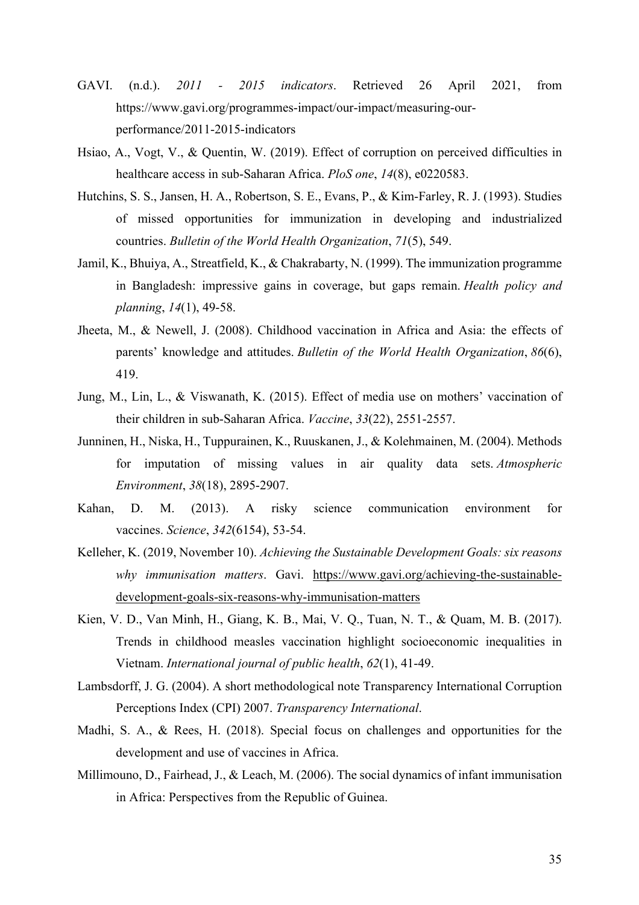- GAVI. (n.d.). *2011 - 2015 indicators*. Retrieved 26 April 2021, from https://www.gavi.org/programmes-impact/our-impact/measuring-ourperformance/2011-2015-indicators
- Hsiao, A., Vogt, V., & Quentin, W. (2019). Effect of corruption on perceived difficulties in healthcare access in sub-Saharan Africa. *PloS one*, *14*(8), e0220583.
- Hutchins, S. S., Jansen, H. A., Robertson, S. E., Evans, P., & Kim-Farley, R. J. (1993). Studies of missed opportunities for immunization in developing and industrialized countries. *Bulletin of the World Health Organization*, *71*(5), 549.
- Jamil, K., Bhuiya, A., Streatfield, K., & Chakrabarty, N. (1999). The immunization programme in Bangladesh: impressive gains in coverage, but gaps remain. *Health policy and planning*, *14*(1), 49-58.
- Jheeta, M., & Newell, J. (2008). Childhood vaccination in Africa and Asia: the effects of parents' knowledge and attitudes. *Bulletin of the World Health Organization*, *86*(6), 419.
- Jung, M., Lin, L., & Viswanath, K. (2015). Effect of media use on mothers' vaccination of their children in sub-Saharan Africa. *Vaccine*, *33*(22), 2551-2557.
- Junninen, H., Niska, H., Tuppurainen, K., Ruuskanen, J., & Kolehmainen, M. (2004). Methods for imputation of missing values in air quality data sets. *Atmospheric Environment*, *38*(18), 2895-2907.
- Kahan, D. M. (2013). A risky science communication environment for vaccines. *Science*, *342*(6154), 53-54.
- Kelleher, K. (2019, November 10). *Achieving the Sustainable Development Goals: six reasons why immunisation matters*. Gavi. https://www.gavi.org/achieving-the-sustainabledevelopment-goals-six-reasons-why-immunisation-matters
- Kien, V. D., Van Minh, H., Giang, K. B., Mai, V. Q., Tuan, N. T., & Quam, M. B. (2017). Trends in childhood measles vaccination highlight socioeconomic inequalities in Vietnam. *International journal of public health*, *62*(1), 41-49.
- Lambsdorff, J. G. (2004). A short methodological note Transparency International Corruption Perceptions Index (CPI) 2007. *Transparency International*.
- Madhi, S. A., & Rees, H. (2018). Special focus on challenges and opportunities for the development and use of vaccines in Africa.
- Millimouno, D., Fairhead, J., & Leach, M. (2006). The social dynamics of infant immunisation in Africa: Perspectives from the Republic of Guinea.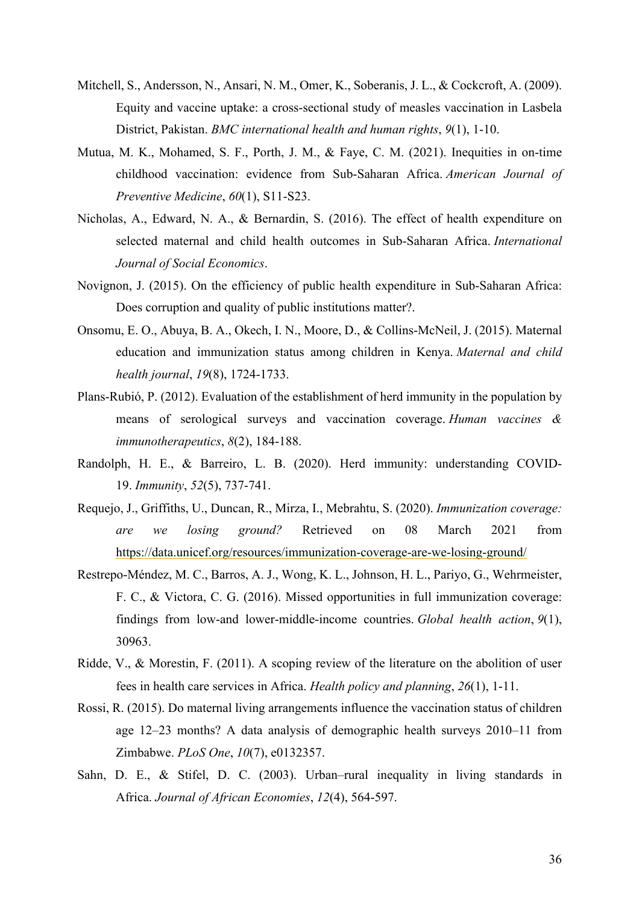- Mitchell, S., Andersson, N., Ansari, N. M., Omer, K., Soberanis, J. L., & Cockcroft, A. (2009). Equity and vaccine uptake: a cross-sectional study of measles vaccination in Lasbela District, Pakistan. *BMC international health and human rights*, *9*(1), 1-10.
- Mutua, M. K., Mohamed, S. F., Porth, J. M., & Faye, C. M. (2021). Inequities in on-time childhood vaccination: evidence from Sub-Saharan Africa. *American Journal of Preventive Medicine*, *60*(1), S11-S23.
- Nicholas, A., Edward, N. A., & Bernardin, S. (2016). The effect of health expenditure on selected maternal and child health outcomes in Sub-Saharan Africa. *International Journal of Social Economics*.
- Novignon, J. (2015). On the efficiency of public health expenditure in Sub-Saharan Africa: Does corruption and quality of public institutions matter?.
- Onsomu, E. O., Abuya, B. A., Okech, I. N., Moore, D., & Collins-McNeil, J. (2015). Maternal education and immunization status among children in Kenya. *Maternal and child health journal*, *19*(8), 1724-1733.
- Plans-Rubió, P. (2012). Evaluation of the establishment of herd immunity in the population by means of serological surveys and vaccination coverage. *Human vaccines & immunotherapeutics*, *8*(2), 184-188.
- Randolph, H. E., & Barreiro, L. B. (2020). Herd immunity: understanding COVID-19. *Immunity*, *52*(5), 737-741.
- Requejo, J., Griffiths, U., Duncan, R., Mirza, I., Mebrahtu, S. (2020). *Immunization coverage: are we losing ground?* Retrieved on 08 March 2021 from https://data.unicef.org/resources/immunization-coverage-are-we-losing-ground/
- Restrepo-Méndez, M. C., Barros, A. J., Wong, K. L., Johnson, H. L., Pariyo, G., Wehrmeister, F. C., & Victora, C. G. (2016). Missed opportunities in full immunization coverage: findings from low-and lower-middle-income countries. *Global health action*, *9*(1), 30963.
- Ridde, V., & Morestin, F. (2011). A scoping review of the literature on the abolition of user fees in health care services in Africa. *Health policy and planning*, *26*(1), 1-11.
- Rossi, R. (2015). Do maternal living arrangements influence the vaccination status of children age 12–23 months? A data analysis of demographic health surveys 2010–11 from Zimbabwe. *PLoS One*, *10*(7), e0132357.
- Sahn, D. E., & Stifel, D. C. (2003). Urban–rural inequality in living standards in Africa. *Journal of African Economies*, *12*(4), 564-597.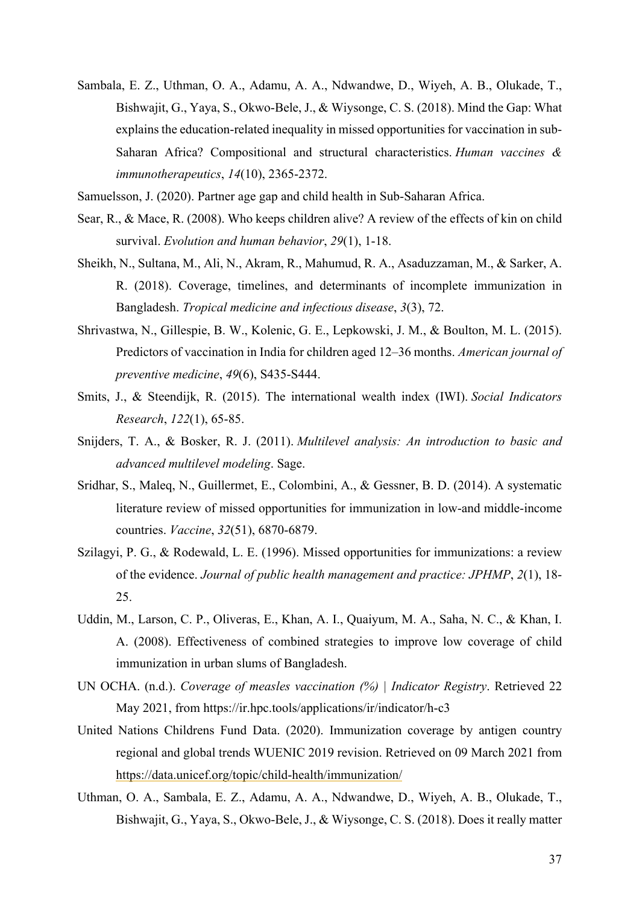- Sambala, E. Z., Uthman, O. A., Adamu, A. A., Ndwandwe, D., Wiyeh, A. B., Olukade, T., Bishwajit, G., Yaya, S., Okwo-Bele, J., & Wiysonge, C. S. (2018). Mind the Gap: What explains the education-related inequality in missed opportunities for vaccination in sub-Saharan Africa? Compositional and structural characteristics. *Human vaccines & immunotherapeutics*, *14*(10), 2365-2372.
- Samuelsson, J. (2020). Partner age gap and child health in Sub-Saharan Africa.
- Sear, R., & Mace, R. (2008). Who keeps children alive? A review of the effects of kin on child survival. *Evolution and human behavior*, *29*(1), 1-18.
- Sheikh, N., Sultana, M., Ali, N., Akram, R., Mahumud, R. A., Asaduzzaman, M., & Sarker, A. R. (2018). Coverage, timelines, and determinants of incomplete immunization in Bangladesh. *Tropical medicine and infectious disease*, *3*(3), 72.
- Shrivastwa, N., Gillespie, B. W., Kolenic, G. E., Lepkowski, J. M., & Boulton, M. L. (2015). Predictors of vaccination in India for children aged 12–36 months. *American journal of preventive medicine*, *49*(6), S435-S444.
- Smits, J., & Steendijk, R. (2015). The international wealth index (IWI). *Social Indicators Research*, *122*(1), 65-85.
- Snijders, T. A., & Bosker, R. J. (2011). *Multilevel analysis: An introduction to basic and advanced multilevel modeling*. Sage.
- Sridhar, S., Maleq, N., Guillermet, E., Colombini, A., & Gessner, B. D. (2014). A systematic literature review of missed opportunities for immunization in low-and middle-income countries. *Vaccine*, *32*(51), 6870-6879.
- Szilagyi, P. G., & Rodewald, L. E. (1996). Missed opportunities for immunizations: a review of the evidence. *Journal of public health management and practice: JPHMP*, *2*(1), 18- 25.
- Uddin, M., Larson, C. P., Oliveras, E., Khan, A. I., Quaiyum, M. A., Saha, N. C., & Khan, I. A. (2008). Effectiveness of combined strategies to improve low coverage of child immunization in urban slums of Bangladesh.
- UN OCHA. (n.d.). *Coverage of measles vaccination (%) | Indicator Registry*. Retrieved 22 May 2021, from https://ir.hpc.tools/applications/ir/indicator/h-c3
- United Nations Childrens Fund Data. (2020). Immunization coverage by antigen country regional and global trends WUENIC 2019 revision. Retrieved on 09 March 2021 from https://data.unicef.org/topic/child-health/immunization/
- Uthman, O. A., Sambala, E. Z., Adamu, A. A., Ndwandwe, D., Wiyeh, A. B., Olukade, T., Bishwajit, G., Yaya, S., Okwo-Bele, J., & Wiysonge, C. S. (2018). Does it really matter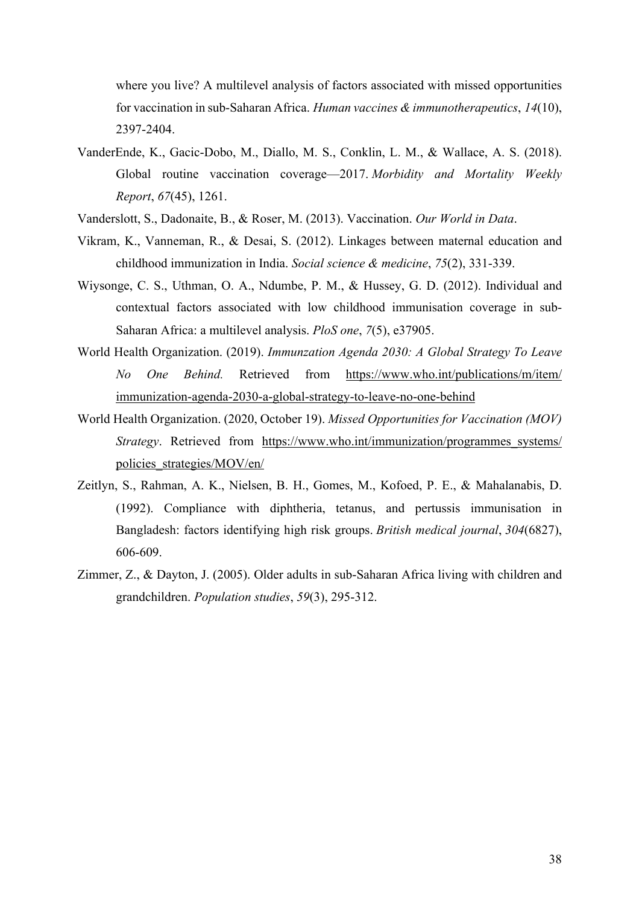where you live? A multilevel analysis of factors associated with missed opportunities for vaccination in sub-Saharan Africa. *Human vaccines & immunotherapeutics*, *14*(10), 2397-2404.

- VanderEnde, K., Gacic-Dobo, M., Diallo, M. S., Conklin, L. M., & Wallace, A. S. (2018). Global routine vaccination coverage—2017. *Morbidity and Mortality Weekly Report*, *67*(45), 1261.
- Vanderslott, S., Dadonaite, B., & Roser, M. (2013). Vaccination. *Our World in Data*.
- Vikram, K., Vanneman, R., & Desai, S. (2012). Linkages between maternal education and childhood immunization in India. *Social science & medicine*, *75*(2), 331-339.
- Wiysonge, C. S., Uthman, O. A., Ndumbe, P. M., & Hussey, G. D. (2012). Individual and contextual factors associated with low childhood immunisation coverage in sub-Saharan Africa: a multilevel analysis. *PloS one*, *7*(5), e37905.
- World Health Organization. (2019). *Immunzation Agenda 2030: A Global Strategy To Leave No One Behind.* Retrieved from https://www.who.int/publications/m/item/ immunization-agenda-2030-a-global-strategy-to-leave-no-one-behind
- World Health Organization. (2020, October 19). *Missed Opportunities for Vaccination (MOV) Strategy*. Retrieved from https://www.who.int/immunization/programmes systems/ policies\_strategies/MOV/en/
- Zeitlyn, S., Rahman, A. K., Nielsen, B. H., Gomes, M., Kofoed, P. E., & Mahalanabis, D. (1992). Compliance with diphtheria, tetanus, and pertussis immunisation in Bangladesh: factors identifying high risk groups. *British medical journal*, *304*(6827), 606-609.
- Zimmer, Z., & Dayton, J. (2005). Older adults in sub-Saharan Africa living with children and grandchildren. *Population studies*, *59*(3), 295-312.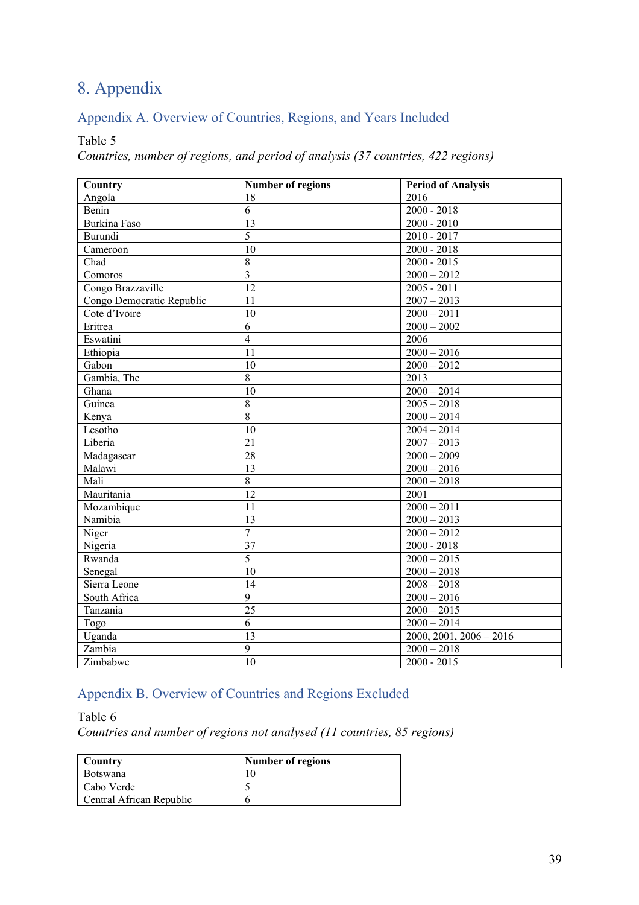# 8. Appendix

# Appendix A. Overview of Countries, Regions, and Years Included

#### Table 5

*Countries, number of regions, and period of analysis (37 countries, 422 regions)*

| Country                     | <b>Number of regions</b> | <b>Period of Analysis</b> |
|-----------------------------|--------------------------|---------------------------|
| Angola                      | 18                       | 2016                      |
| Benin                       | 6                        | $2000 - 2018$             |
| <b>Burkina Faso</b>         | $\overline{13}$          | $2000 - 2010$             |
| Burundi                     | $\overline{5}$           | $2010 - 2017$             |
| Cameroon                    | $\overline{10}$          | $2000 - 2018$             |
| Chad                        | $\,8\,$                  | $2000 - 2015$             |
| $\overline{\text{Comoros}}$ | $\overline{3}$           | $2000 - 2012$             |
| Congo Brazzaville           | 12                       | $2005 - 2011$             |
| Congo Democratic Republic   | $\overline{11}$          | $2007 - 2013$             |
| Cote d'Ivoire               | $\overline{10}$          | $2000 - 2011$             |
| Eritrea                     | $\overline{6}$           | $2000 - 2002$             |
| Eswatini                    | $\overline{4}$           | 2006                      |
| Ethiopia                    | $\overline{11}$          | $2000 - 2016$             |
| Gabon                       | 10                       | $2000 - 2012$             |
| Gambia, The                 | $\overline{8}$           | 2013                      |
| Ghana                       | $\overline{10}$          | $2000 - 2014$             |
| Guinea                      | $\overline{8}$           | $2005 - 2018$             |
| Kenya                       | $\overline{8}$           | $2000 - 2014$             |
| Lesotho                     | 10                       | $2004 - 2014$             |
| Liberia                     | 21                       | $2007 - 2013$             |
| Madagascar                  | 28                       | $2000 - 2009$             |
| Malawi                      | 13                       | $2000 - 2016$             |
| Mali                        | $\overline{8}$           | $2000 - 2018$             |
| Mauritania                  | 12                       | 2001                      |
| Mozambique                  | 11                       | $2000 - 2011$             |
| Namibia                     | 13                       | $2000 - 2013$             |
| Niger                       | $\overline{7}$           | $2000 - 2012$             |
| Nigeria                     | $\overline{37}$          | $2000 - 2018$             |
| Rwanda                      | $\overline{5}$           | $2000 - 2015$             |
| Senegal                     | 10                       | $2000 - 2018$             |
| Sierra Leone                | 14                       | $2008 - 2018$             |
| South Africa                | 9                        | $2000 - 2016$             |
| Tanzania                    | $\overline{25}$          | $2000 - 2015$             |
| Togo                        | $\overline{6}$           | $2000 - 2014$             |
| Uganda                      | $\overline{13}$          | $2000, 2001, 2006 - 2016$ |
| Zambia                      | $\overline{9}$           | $2000 - 2018$             |
| Zimbabwe                    | 10                       | $2000 - 2015$             |

# Appendix B. Overview of Countries and Regions Excluded

### Table 6

*Countries and number of regions not analysed (11 countries, 85 regions)*

| Country                  | Number of regions |
|--------------------------|-------------------|
| <b>Botswana</b>          |                   |
| Cabo Verde               |                   |
| Central African Republic |                   |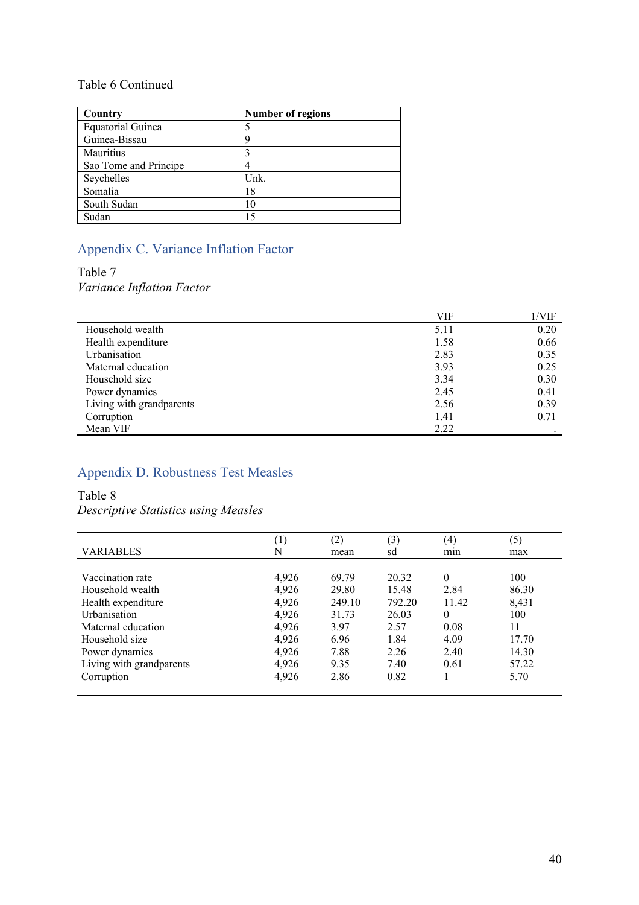## Table 6 Continued

| Country                  | <b>Number of regions</b> |
|--------------------------|--------------------------|
| <b>Equatorial Guinea</b> |                          |
| Guinea-Bissau            |                          |
| Mauritius                |                          |
| Sao Tome and Principe    |                          |
| Seychelles               | Unk.                     |
| Somalia                  | 18                       |
| South Sudan              | 10                       |
| Sudan                    | 15                       |

# Appendix C. Variance Inflation Factor

# Table 7

*Variance Inflation Factor*

|                          | VIF  | 1/VIF |
|--------------------------|------|-------|
| Household wealth         | 5.11 | 0.20  |
| Health expenditure       | 1.58 | 0.66  |
| <b>Urbanisation</b>      | 2.83 | 0.35  |
| Maternal education       | 3.93 | 0.25  |
| Household size           | 3.34 | 0.30  |
| Power dynamics           | 2.45 | 0.41  |
| Living with grandparents | 2.56 | 0.39  |
| Corruption               | 1.41 | 0.71  |
| Mean VIF                 | 2.22 |       |

# Appendix D. Robustness Test Measles

### Table 8

#### *Descriptive Statistics using Measles*

|                          | $\left[ \begin{smallmatrix} 1 \end{smallmatrix} \right]$ | (2)    | (3)    | (4)      | (5)   |
|--------------------------|----------------------------------------------------------|--------|--------|----------|-------|
| <b>VARIABLES</b>         | N                                                        | mean   | sd     | min      | max   |
|                          |                                                          |        |        |          |       |
| Vaccination rate         | 4,926                                                    | 69.79  | 20.32  | $\theta$ | 100   |
| Household wealth         | 4,926                                                    | 29.80  | 15.48  | 2.84     | 86.30 |
| Health expenditure       | 4,926                                                    | 249.10 | 792.20 | 11.42    | 8,431 |
| <b>Urbanisation</b>      | 4,926                                                    | 31.73  | 26.03  | $\theta$ | 100   |
| Maternal education       | 4,926                                                    | 3.97   | 2.57   | 0.08     | 11    |
| Household size           | 4,926                                                    | 6.96   | 1.84   | 4.09     | 17.70 |
| Power dynamics           | 4,926                                                    | 7.88   | 2.26   | 2.40     | 14.30 |
| Living with grandparents | 4,926                                                    | 9.35   | 7.40   | 0.61     | 57.22 |
| Corruption               | 4,926                                                    | 2.86   | 0.82   |          | 5.70  |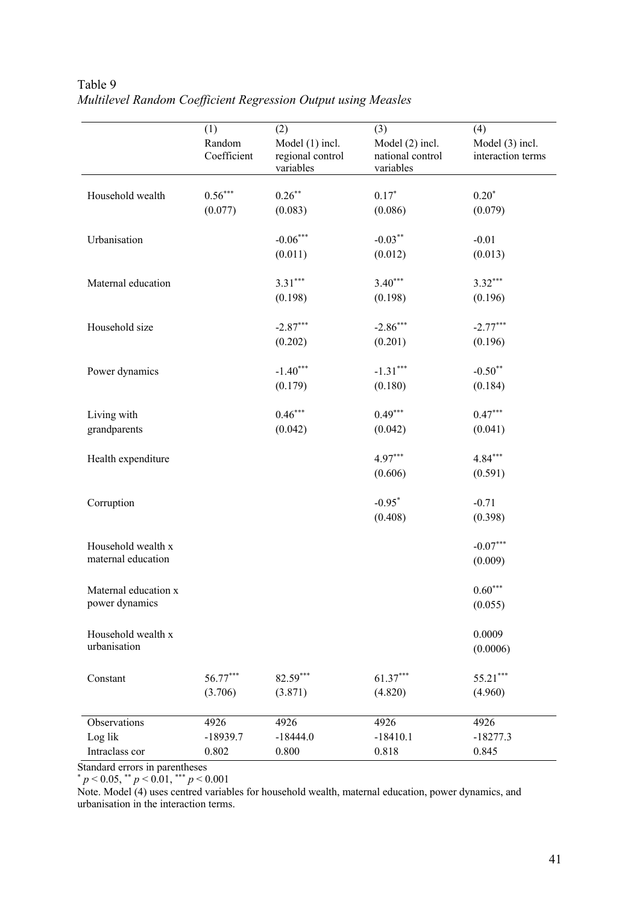|                      | (1)                   | (2)                                              | (3)                                              | (4)                                  |
|----------------------|-----------------------|--------------------------------------------------|--------------------------------------------------|--------------------------------------|
|                      | Random<br>Coefficient | Model (1) incl.<br>regional control<br>variables | Model (2) incl.<br>national control<br>variables | Model (3) incl.<br>interaction terms |
|                      |                       |                                                  |                                                  |                                      |
| Household wealth     | $0.56***$             | $0.26***$                                        | $0.17*$                                          | $0.20*$                              |
|                      | (0.077)               | (0.083)                                          | (0.086)                                          | (0.079)                              |
| Urbanisation         |                       | $-0.06***$                                       | $-0.03***$                                       | $-0.01$                              |
|                      |                       | (0.011)                                          | (0.012)                                          | (0.013)                              |
| Maternal education   |                       | $3.31***$                                        | $3.40***$                                        | $3.32***$                            |
|                      |                       | (0.198)                                          | (0.198)                                          | (0.196)                              |
| Household size       |                       | $-2.87***$                                       | $-2.86***$                                       | $-2.77***$                           |
|                      |                       | (0.202)                                          | (0.201)                                          | (0.196)                              |
| Power dynamics       |                       | $-1.40***$                                       | $-1.31***$                                       | $-0.50**$                            |
|                      |                       | (0.179)                                          | (0.180)                                          | (0.184)                              |
| Living with          |                       | $0.46***$                                        | $0.49***$                                        | $0.47***$                            |
| grandparents         |                       | (0.042)                                          | (0.042)                                          | (0.041)                              |
| Health expenditure   |                       |                                                  | $4.97***$                                        | $4.84***$                            |
|                      |                       |                                                  | (0.606)                                          | (0.591)                              |
| Corruption           |                       |                                                  | $-0.95*$                                         | $-0.71$                              |
|                      |                       |                                                  | (0.408)                                          | (0.398)                              |
| Household wealth x   |                       |                                                  |                                                  | $-0.07***$                           |
| maternal education   |                       |                                                  |                                                  | (0.009)                              |
| Maternal education x |                       |                                                  |                                                  | $0.60***$                            |
| power dynamics       |                       |                                                  |                                                  | (0.055)                              |
| Household wealth x   |                       |                                                  |                                                  | 0.0009                               |
| urbanisation         |                       |                                                  |                                                  | (0.0006)                             |
|                      |                       |                                                  |                                                  |                                      |
| Constant             | 56.77***              | $82.59***$                                       | $61.37***$                                       | $55.21***$                           |
|                      | (3.706)               | (3.871)                                          | (4.820)                                          | (4.960)                              |
| Observations         | 4926                  | 4926                                             | 4926                                             | 4926                                 |
| Log lik              | $-18939.7$            | $-18444.0$                                       | $-18410.1$                                       | $-18277.3$                           |
| Intraclass cor       | 0.802                 | 0.800                                            | 0.818                                            | 0.845                                |

## Table 9 *Multilevel Random Coefficient Regression Output using Measles*

Standard errors in parentheses

\* *p* < 0.05, \*\* *p* < 0.01, \*\*\* *p* < 0.001

Note. Model (4) uses centred variables for household wealth, maternal education, power dynamics, and urbanisation in the interaction terms.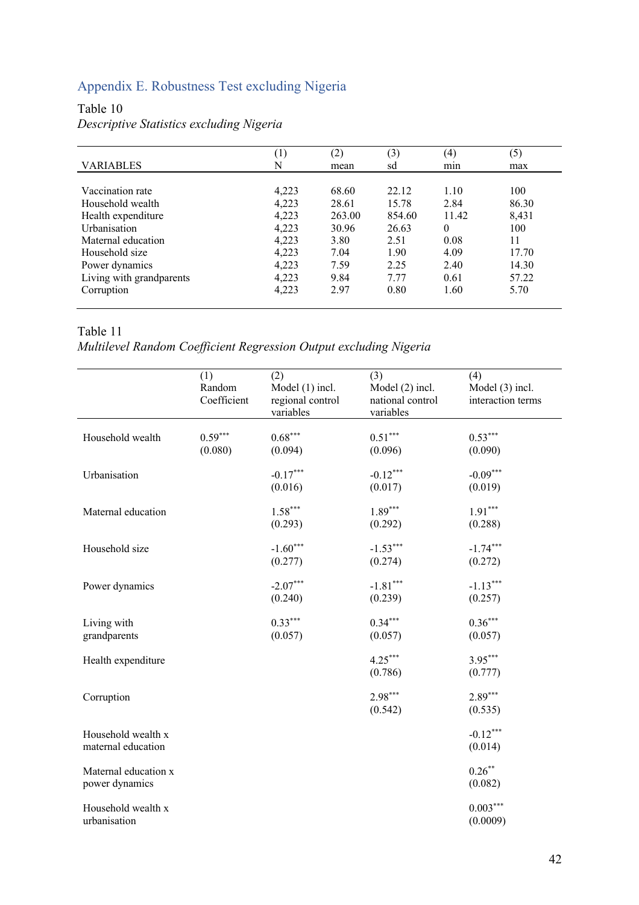# Appendix E. Robustness Test excluding Nigeria

## Table 10

### *Descriptive Statistics excluding Nigeria*

|                          | $\left( \frac{1}{2} \right)$ | (2)    | (3)    | $\left( 4\right)$ | (5)   |
|--------------------------|------------------------------|--------|--------|-------------------|-------|
| <b>VARIABLES</b>         | N                            | mean   | sd     | mın               | max   |
|                          |                              |        |        |                   |       |
| Vaccination rate         | 4,223                        | 68.60  | 22.12  | 1.10              | 100   |
| Household wealth         | 4,223                        | 28.61  | 15.78  | 2.84              | 86.30 |
| Health expenditure       | 4,223                        | 263.00 | 854.60 | 11.42             | 8,431 |
| Urbanisation             | 4,223                        | 30.96  | 26.63  | $\theta$          | 100   |
| Maternal education       | 4,223                        | 3.80   | 2.51   | 0.08              | 11    |
| Household size           | 4,223                        | 7.04   | 1.90   | 4.09              | 17.70 |
| Power dynamics           | 4,223                        | 7.59   | 2.25   | 2.40              | 14.30 |
| Living with grandparents | 4,223                        | 9.84   | 7.77   | 0.61              | 57.22 |
| Corruption               | 4,223                        | 2.97   | 0.80   | 1.60              | 5.70  |

### Table 11

## *Multilevel Random Coefficient Regression Output excluding Nigeria*

|                                          | (1)<br>Random<br>Coefficient | (2)<br>Model (1) incl.<br>regional control<br>variables | (3)<br>Model (2) incl.<br>national control<br>variables | (4)<br>Model (3) incl.<br>interaction terms |
|------------------------------------------|------------------------------|---------------------------------------------------------|---------------------------------------------------------|---------------------------------------------|
| Household wealth                         | $0.59***$<br>(0.080)         | $0.68***$<br>(0.094)                                    | $0.51***$<br>(0.096)                                    | $0.53***$<br>(0.090)                        |
| Urbanisation                             |                              | $-0.17***$<br>(0.016)                                   | $-0.12***$<br>(0.017)                                   | $-0.09***$<br>(0.019)                       |
| Maternal education                       |                              | $1.58***$<br>(0.293)                                    | $1.89***$<br>(0.292)                                    | $1.91***$<br>(0.288)                        |
| Household size                           |                              | $-1.60***$<br>(0.277)                                   | $-1.53***$<br>(0.274)                                   | $-1.74***$<br>(0.272)                       |
| Power dynamics                           |                              | $-2.07***$<br>(0.240)                                   | $-1.81***$<br>(0.239)                                   | $-1.13***$<br>(0.257)                       |
| Living with<br>grandparents              |                              | $0.33***$<br>(0.057)                                    | $0.34***$<br>(0.057)                                    | $0.36***$<br>(0.057)                        |
| Health expenditure                       |                              |                                                         | $4.25***$<br>(0.786)                                    | $3.95***$<br>(0.777)                        |
| Corruption                               |                              |                                                         | $2.98***$<br>(0.542)                                    | $2.89***$<br>(0.535)                        |
| Household wealth x<br>maternal education |                              |                                                         |                                                         | $-0.12***$<br>(0.014)                       |
| Maternal education x<br>power dynamics   |                              |                                                         |                                                         | $0.26***$<br>(0.082)                        |
| Household wealth x<br>urbanisation       |                              |                                                         |                                                         | $0.003***$<br>(0.0009)                      |